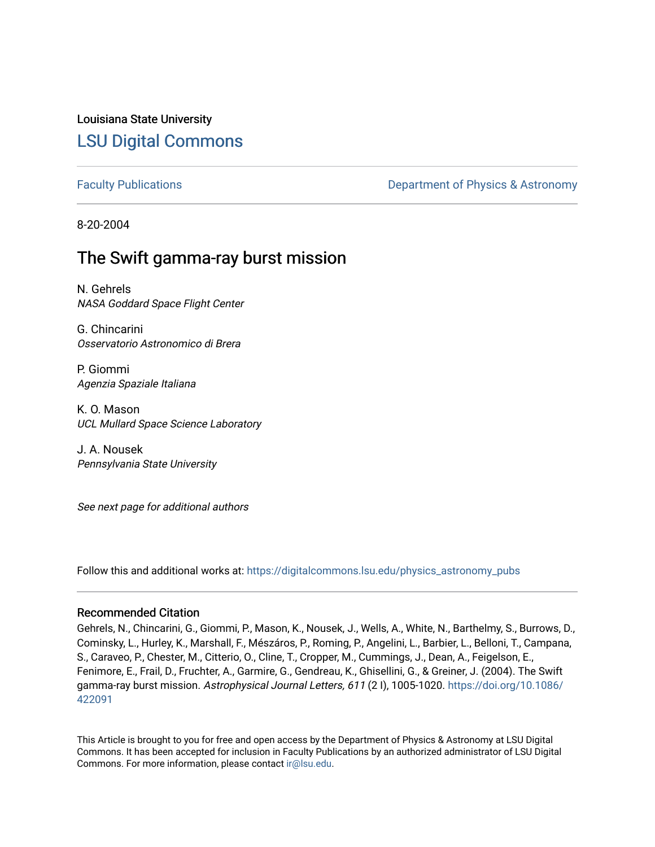# Louisiana State University [LSU Digital Commons](https://digitalcommons.lsu.edu/)

[Faculty Publications](https://digitalcommons.lsu.edu/physics_astronomy_pubs) **Exercise 2 and Table 2 and Table 2 and Table 2 and Table 2 and Table 2 and Table 2 and Table 2 and Table 2 and Table 2 and Table 2 and Table 2 and Table 2 and Table 2 and Table 2 and Table 2 and Table** 

8-20-2004

# The Swift gamma-ray burst mission

N. Gehrels NASA Goddard Space Flight Center

G. Chincarini Osservatorio Astronomico di Brera

P. Giommi Agenzia Spaziale Italiana

K. O. Mason UCL Mullard Space Science Laboratory

J. A. Nousek Pennsylvania State University

See next page for additional authors

Follow this and additional works at: [https://digitalcommons.lsu.edu/physics\\_astronomy\\_pubs](https://digitalcommons.lsu.edu/physics_astronomy_pubs?utm_source=digitalcommons.lsu.edu%2Fphysics_astronomy_pubs%2F4738&utm_medium=PDF&utm_campaign=PDFCoverPages) 

# Recommended Citation

Gehrels, N., Chincarini, G., Giommi, P., Mason, K., Nousek, J., Wells, A., White, N., Barthelmy, S., Burrows, D., Cominsky, L., Hurley, K., Marshall, F., Mészáros, P., Roming, P., Angelini, L., Barbier, L., Belloni, T., Campana, S., Caraveo, P., Chester, M., Citterio, O., Cline, T., Cropper, M., Cummings, J., Dean, A., Feigelson, E., Fenimore, E., Frail, D., Fruchter, A., Garmire, G., Gendreau, K., Ghisellini, G., & Greiner, J. (2004). The Swift gamma-ray burst mission. Astrophysical Journal Letters, 611 (2 I), 1005-1020. [https://doi.org/10.1086/](https://doi.org/10.1086/422091) [422091](https://doi.org/10.1086/422091) 

This Article is brought to you for free and open access by the Department of Physics & Astronomy at LSU Digital Commons. It has been accepted for inclusion in Faculty Publications by an authorized administrator of LSU Digital Commons. For more information, please contact [ir@lsu.edu](mailto:ir@lsu.edu).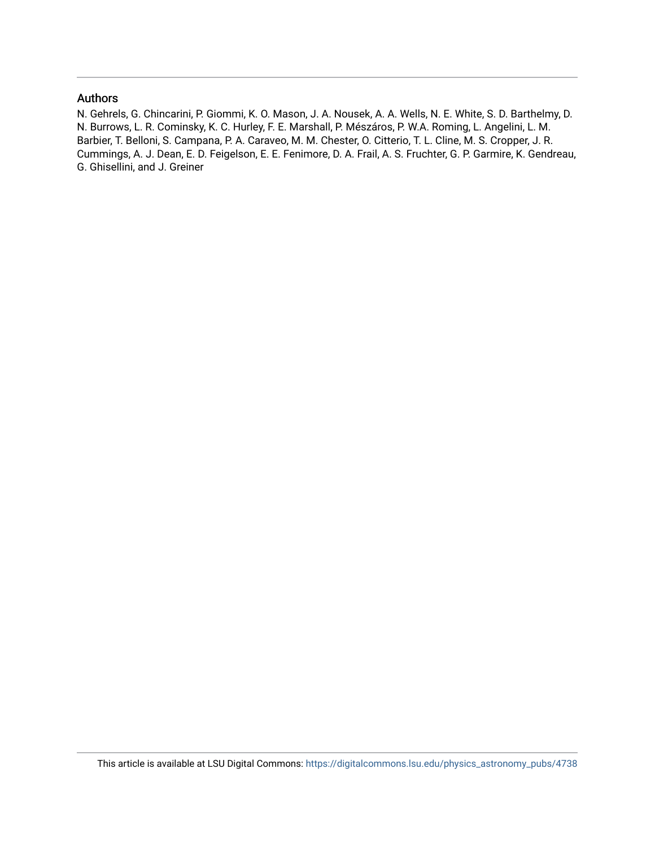# Authors

N. Gehrels, G. Chincarini, P. Giommi, K. O. Mason, J. A. Nousek, A. A. Wells, N. E. White, S. D. Barthelmy, D. N. Burrows, L. R. Cominsky, K. C. Hurley, F. E. Marshall, P. Mészáros, P. W.A. Roming, L. Angelini, L. M. Barbier, T. Belloni, S. Campana, P. A. Caraveo, M. M. Chester, O. Citterio, T. L. Cline, M. S. Cropper, J. R. Cummings, A. J. Dean, E. D. Feigelson, E. E. Fenimore, D. A. Frail, A. S. Fruchter, G. P. Garmire, K. Gendreau, G. Ghisellini, and J. Greiner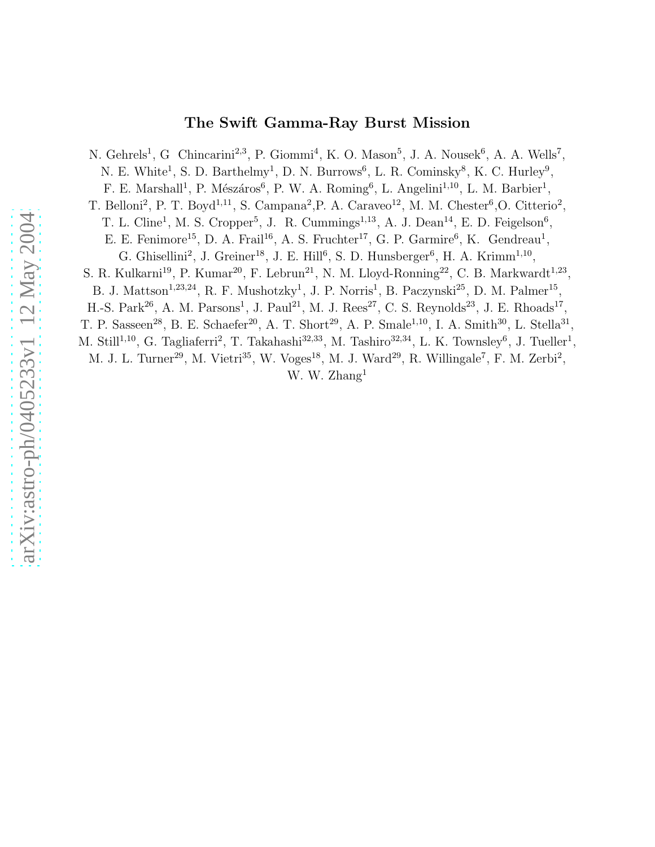# The Swift Gamma-Ray Burst Mission

N. Gehrels<sup>1</sup>, G Chincarini<sup>2,3</sup>, P. Giommi<sup>4</sup>, K. O. Mason<sup>5</sup>, J. A. Nousek<sup>6</sup>, A. A. Wells<sup>7</sup>, N. E. White<sup>1</sup>, S. D. Barthelmy<sup>1</sup>, D. N. Burrows<sup>6</sup>, L. R. Cominsky<sup>8</sup>, K. C. Hurley<sup>9</sup>, F. E. Marshall<sup>1</sup>, P. Mészáros<sup>6</sup>, P. W. A. Roming<sup>6</sup>, L. Angelini<sup>1,10</sup>, L. M. Barbier<sup>1</sup>, T. Belloni<sup>2</sup>, P. T. Boyd<sup>1,11</sup>, S. Campana<sup>2</sup>, P. A. Caraveo<sup>12</sup>, M. M. Chester<sup>6</sup>, O. Citterio<sup>2</sup>, T. L. Cline<sup>1</sup>, M. S. Cropper<sup>5</sup>, J. R. Cummings<sup>1,13</sup>, A. J. Dean<sup>14</sup>, E. D. Feigelson<sup>6</sup>, E. E. Fenimore<sup>15</sup>, D. A. Frail<sup>16</sup>, A. S. Fruchter<sup>17</sup>, G. P. Garmire<sup>6</sup>, K. Gendreau<sup>1</sup>, G. Ghisellini<sup>2</sup>, J. Greiner<sup>18</sup>, J. E. Hill<sup>6</sup>, S. D. Hunsberger<sup>6</sup>, H. A. Krimm<sup>1,10</sup>, S. R. Kulkarni<sup>19</sup>, P. Kumar<sup>20</sup>, F. Lebrun<sup>21</sup>, N. M. Lloyd-Ronning<sup>22</sup>, C. B. Markwardt<sup>1,23</sup>, B. J. Mattson<sup>1,23,24</sup>, R. F. Mushotzky<sup>1</sup>, J. P. Norris<sup>1</sup>, B. Paczynski<sup>25</sup>, D. M. Palmer<sup>15</sup>, H.-S. Park<sup>26</sup>, A. M. Parsons<sup>1</sup>, J. Paul<sup>21</sup>, M. J. Rees<sup>27</sup>, C. S. Reynolds<sup>23</sup>, J. E. Rhoads<sup>17</sup>, T. P. Sasseen<sup>28</sup>, B. E. Schaefer<sup>20</sup>, A. T. Short<sup>29</sup>, A. P. Smale<sup>1,10</sup>, I. A. Smith<sup>30</sup>, L. Stella<sup>31</sup> M. Still<sup>1,10</sup>, G. Tagliaferri<sup>2</sup>, T. Takahashi<sup>32,33</sup>, M. Tashiro<sup>32,34</sup>, L. K. Townsley<sup>6</sup>, J. Tueller<sup>1</sup>, M. J. L. Turner<sup>29</sup>, M. Vietri<sup>35</sup>, W. Voges<sup>18</sup>, M. J. Ward<sup>29</sup>, R. Willingale<sup>7</sup>, F. M. Zerbi<sup>2</sup>, W. W. Zhang<sup>1</sup>

,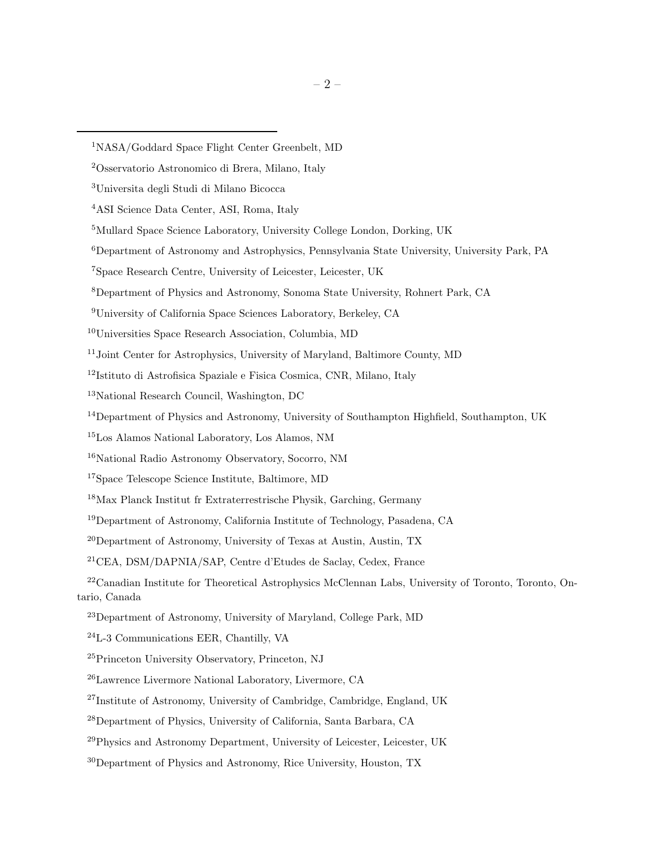Department of Astronomy, California Institute of Technology, Pasadena, CA

 $^{20}$ Department of Astronomy, University of Texas at Austin, Austin, TX

CEA, DSM/DAPNIA/SAP, Centre d'Etudes de Saclay, Cedex, France

<sup>22</sup>Canadian Institute for Theoretical Astrophysics McClennan Labs, University of Toronto, Toronto, Ontario, Canada

NASA/Goddard Space Flight Center Greenbelt, MD

Osservatorio Astronomico di Brera, Milano, Italy

Universita degli Studi di Milano Bicocca

ASI Science Data Center, ASI, Roma, Italy

Mullard Space Science Laboratory, University College London, Dorking, UK

Department of Astronomy and Astrophysics, Pennsylvania State University, University Park, PA

Space Research Centre, University of Leicester, Leicester, UK

Department of Physics and Astronomy, Sonoma State University, Rohnert Park, CA

University of California Space Sciences Laboratory, Berkeley, CA

Universities Space Research Association, Columbia, MD

Joint Center for Astrophysics, University of Maryland, Baltimore County, MD

Istituto di Astrofisica Spaziale e Fisica Cosmica, CNR, Milano, Italy

National Research Council, Washington, DC

<sup>&</sup>lt;sup>14</sup>Department of Physics and Astronomy, University of Southampton Highfield, Southampton, UK

Los Alamos National Laboratory, Los Alamos, NM

National Radio Astronomy Observatory, Socorro, NM

Space Telescope Science Institute, Baltimore, MD

Max Planck Institut fr Extraterrestrische Physik, Garching, Germany

Department of Astronomy, University of Maryland, College Park, MD

L-3 Communications EER, Chantilly, VA

Princeton University Observatory, Princeton, NJ

Lawrence Livermore National Laboratory, Livermore, CA

Institute of Astronomy, University of Cambridge, Cambridge, England, UK

Department of Physics, University of California, Santa Barbara, CA

Physics and Astronomy Department, University of Leicester, Leicester, UK

<sup>&</sup>lt;sup>30</sup>Department of Physics and Astronomy, Rice University, Houston, TX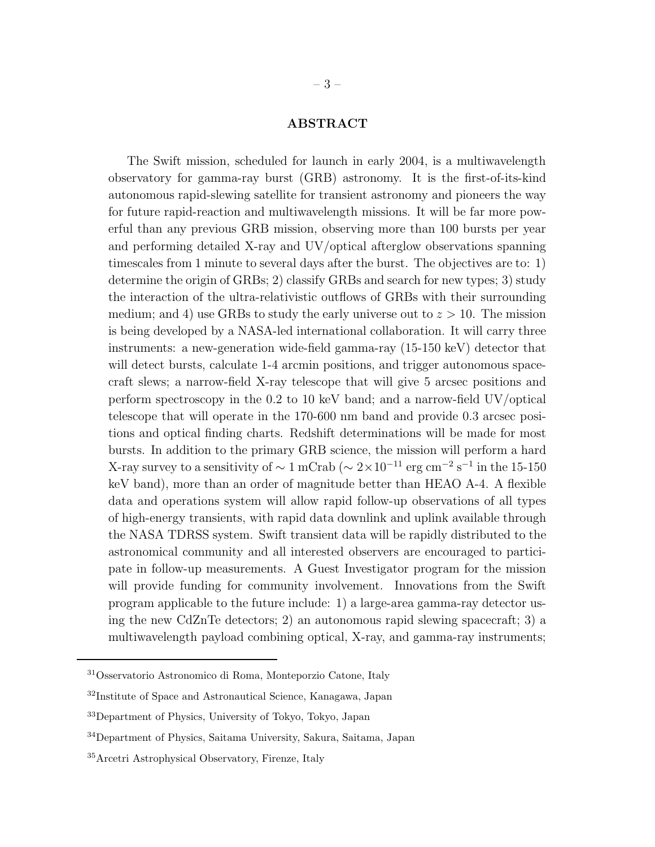# ABSTRACT

The Swift mission, scheduled for launch in early 2004, is a multiwavelength observatory for gamma-ray burst (GRB) astronomy. It is the first-of-its-kind autonomous rapid-slewing satellite for transient astronomy and pioneers the way for future rapid-reaction and multiwavelength missions. It will be far more powerful than any previous GRB mission, observing more than 100 bursts per year and performing detailed X-ray and UV/optical afterglow observations spanning timescales from 1 minute to several days after the burst. The objectives are to: 1) determine the origin of GRBs; 2) classify GRBs and search for new types; 3) study the interaction of the ultra-relativistic outflows of GRBs with their surrounding medium; and 4) use GRBs to study the early universe out to  $z > 10$ . The mission is being developed by a NASA-led international collaboration. It will carry three instruments: a new-generation wide-field gamma-ray (15-150 keV) detector that will detect bursts, calculate  $1-4$  arcmin positions, and trigger autonomous spacecraft slews; a narrow-field X-ray telescope that will give 5 arcsec positions and perform spectroscopy in the 0.2 to 10 keV band; and a narrow-field UV/optical telescope that will operate in the 170-600 nm band and provide 0.3 arcsec positions and optical finding charts. Redshift determinations will be made for most bursts. In addition to the primary GRB science, the mission will perform a hard X-ray survey to a sensitivity of  $\sim 1 \text{ mCrab}$  ( $\sim 2 \times 10^{-11} \text{ erg cm}^{-2} \text{ s}^{-1}$  in the 15-150 keV band), more than an order of magnitude better than HEAO A-4. A flexible data and operations system will allow rapid follow-up observations of all types of high-energy transients, with rapid data downlink and uplink available through the NASA TDRSS system. Swift transient data will be rapidly distributed to the astronomical community and all interested observers are encouraged to participate in follow-up measurements. A Guest Investigator program for the mission will provide funding for community involvement. Innovations from the Swift program applicable to the future include: 1) a large-area gamma-ray detector using the new CdZnTe detectors; 2) an autonomous rapid slewing spacecraft; 3) a multiwavelength payload combining optical, X-ray, and gamma-ray instruments;

<sup>31</sup>Osservatorio Astronomico di Roma, Monteporzio Catone, Italy

<sup>32</sup>Institute of Space and Astronautical Science, Kanagawa, Japan

<sup>33</sup>Department of Physics, University of Tokyo, Tokyo, Japan

<sup>34</sup>Department of Physics, Saitama University, Sakura, Saitama, Japan

<sup>35</sup>Arcetri Astrophysical Observatory, Firenze, Italy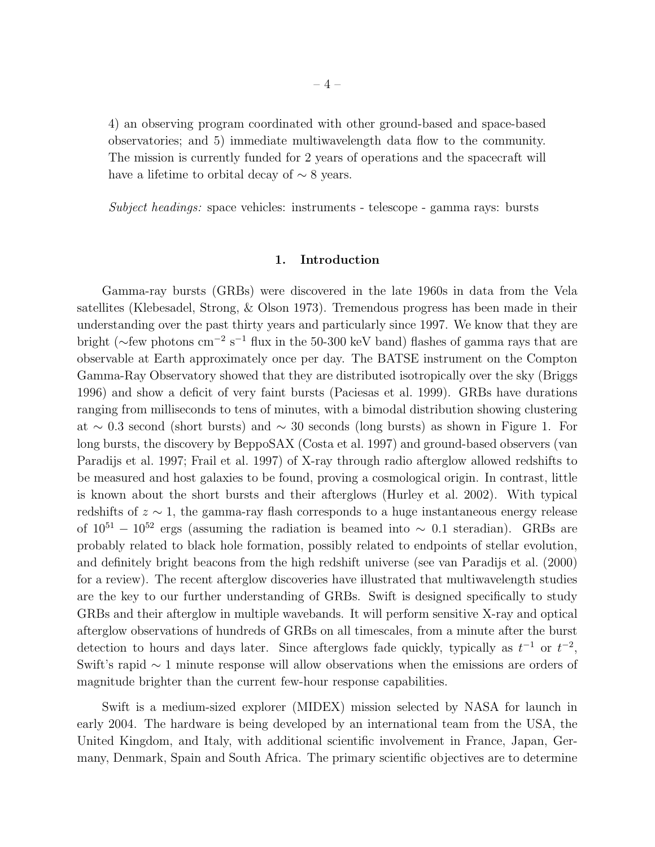4) an observing program coordinated with other ground-based and space-based observatories; and 5) immediate multiwavelength data flow to the community. The mission is currently funded for 2 years of operations and the spacecraft will have a lifetime to orbital decay of  $\sim$  8 years.

*Subject headings:* space vehicles: instruments - telescope - gamma rays: bursts

# 1. Introduction

Gamma-ray bursts (GRBs) were discovered in the late 1960s in data from the Vela satellites (Klebesadel, Strong, & Olson 1973). Tremendous progress has been made in their understanding over the past thirty years and particularly since 1997. We know that they are bright (∼few photons cm<sup>-2</sup> s<sup>-1</sup> flux in the 50-300 keV band) flashes of gamma rays that are observable at Earth approximately once per day. The BATSE instrument on the Compton Gamma-Ray Observatory showed that they are distributed isotropically over the sky (Briggs 1996) and show a deficit of very faint bursts (Paciesas et al. 1999). GRBs have durations ranging from milliseconds to tens of minutes, with a bimodal distribution showing clustering at  $\sim$  0.3 second (short bursts) and  $\sim$  30 seconds (long bursts) as shown in Figure 1. For long bursts, the discovery by BeppoSAX (Costa et al. 1997) and ground-based observers (van Paradijs et al. 1997; Frail et al. 1997) of X-ray through radio afterglow allowed redshifts to be measured and host galaxies to be found, proving a cosmological origin. In contrast, little is known about the short bursts and their afterglows (Hurley et al. 2002). With typical redshifts of  $z \sim 1$ , the gamma-ray flash corresponds to a huge instantaneous energy release of  $10^{51} - 10^{52}$  ergs (assuming the radiation is beamed into  $\sim 0.1$  steradian). GRBs are probably related to black hole formation, possibly related to endpoints of stellar evolution, and definitely bright beacons from the high redshift universe (see van Paradijs et al. (2000) for a review). The recent afterglow discoveries have illustrated that multiwavelength studies are the key to our further understanding of GRBs. Swift is designed specifically to study GRBs and their afterglow in multiple wavebands. It will perform sensitive X-ray and optical afterglow observations of hundreds of GRBs on all timescales, from a minute after the burst detection to hours and days later. Since afterglows fade quickly, typically as  $t^{-1}$  or  $t^{-2}$ , Swift's rapid ∼ 1 minute response will allow observations when the emissions are orders of magnitude brighter than the current few-hour response capabilities.

Swift is a medium-sized explorer (MIDEX) mission selected by NASA for launch in early 2004. The hardware is being developed by an international team from the USA, the United Kingdom, and Italy, with additional scientific involvement in France, Japan, Germany, Denmark, Spain and South Africa. The primary scientific objectives are to determine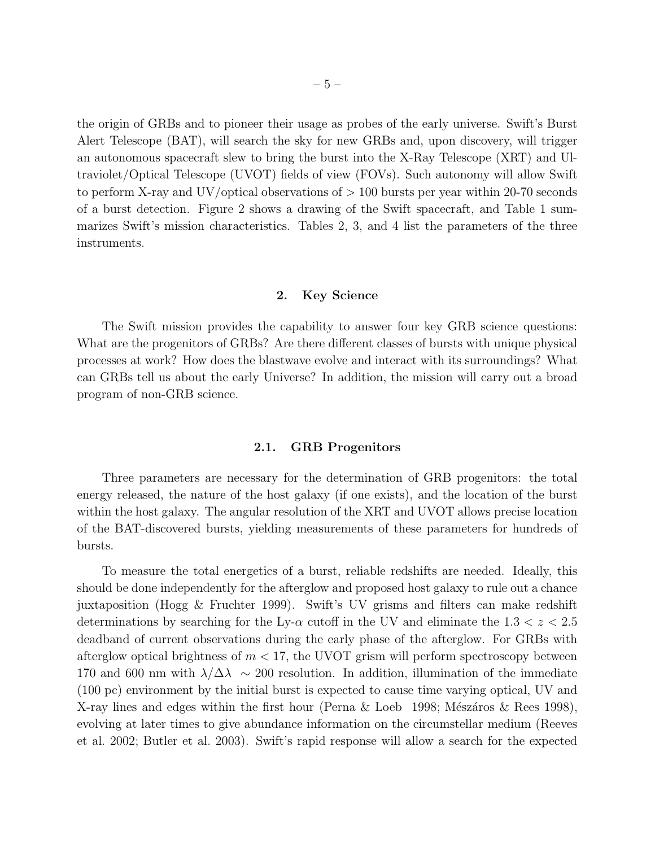the origin of GRBs and to pioneer their usage as probes of the early universe. Swift's Burst Alert Telescope (BAT), will search the sky for new GRBs and, upon discovery, will trigger an autonomous spacecraft slew to bring the burst into the X-Ray Telescope (XRT) and Ultraviolet/Optical Telescope (UVOT) fields of view (FOVs). Such autonomy will allow Swift to perform X-ray and UV/optical observations of  $> 100$  bursts per year within 20-70 seconds of a burst detection. Figure 2 shows a drawing of the Swift spacecraft, and Table 1 summarizes Swift's mission characteristics. Tables 2, 3, and 4 list the parameters of the three instruments.

#### 2. Key Science

The Swift mission provides the capability to answer four key GRB science questions: What are the progenitors of GRBs? Are there different classes of bursts with unique physical processes at work? How does the blastwave evolve and interact with its surroundings? What can GRBs tell us about the early Universe? In addition, the mission will carry out a broad program of non-GRB science.

# 2.1. GRB Progenitors

Three parameters are necessary for the determination of GRB progenitors: the total energy released, the nature of the host galaxy (if one exists), and the location of the burst within the host galaxy. The angular resolution of the XRT and UVOT allows precise location of the BAT-discovered bursts, yielding measurements of these parameters for hundreds of bursts.

To measure the total energetics of a burst, reliable redshifts are needed. Ideally, this should be done independently for the afterglow and proposed host galaxy to rule out a chance juxtaposition (Hogg & Fruchter 1999). Swift's UV grisms and filters can make redshift determinations by searching for the Ly- $\alpha$  cutoff in the UV and eliminate the 1.3  $\lt z \lt 2.5$ deadband of current observations during the early phase of the afterglow. For GRBs with afterglow optical brightness of  $m < 17$ , the UVOT grism will perform spectroscopy between 170 and 600 nm with  $\lambda/\Delta\lambda \sim 200$  resolution. In addition, illumination of the immediate (100 pc) environment by the initial burst is expected to cause time varying optical, UV and X-ray lines and edges within the first hour (Perna & Loeb 1998; Mészáros & Rees 1998), evolving at later times to give abundance information on the circumstellar medium (Reeves et al. 2002; Butler et al. 2003). Swift's rapid response will allow a search for the expected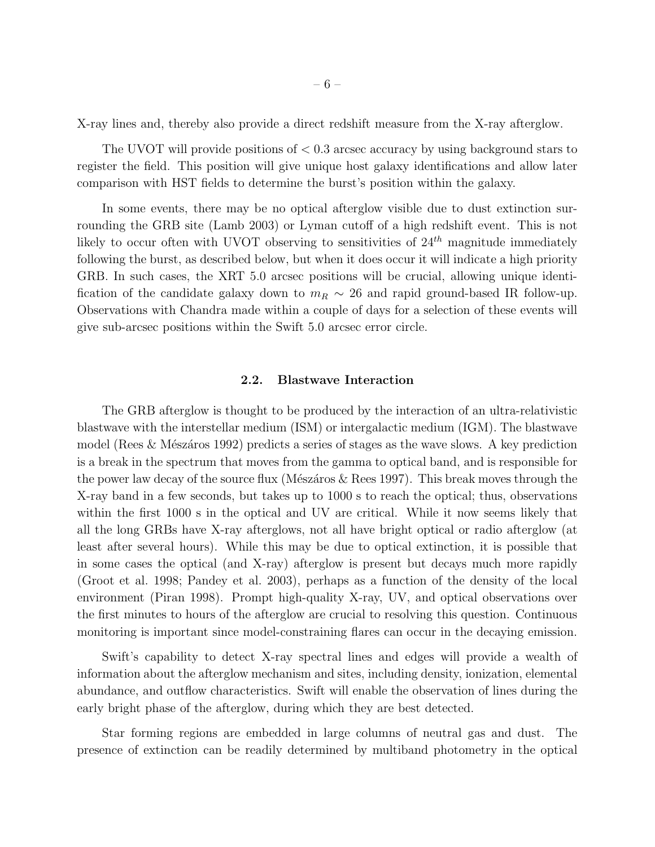X-ray lines and, thereby also provide a direct redshift measure from the X-ray afterglow.

The UVOT will provide positions of < 0.3 arcsec accuracy by using background stars to register the field. This position will give unique host galaxy identifications and allow later comparison with HST fields to determine the burst's position within the galaxy.

In some events, there may be no optical afterglow visible due to dust extinction surrounding the GRB site (Lamb 2003) or Lyman cutoff of a high redshift event. This is not likely to occur often with UVOT observing to sensitivities of  $24<sup>th</sup>$  magnitude immediately following the burst, as described below, but when it does occur it will indicate a high priority GRB. In such cases, the XRT 5.0 arcsec positions will be crucial, allowing unique identification of the candidate galaxy down to  $m_R \sim 26$  and rapid ground-based IR follow-up. Observations with Chandra made within a couple of days for a selection of these events will give sub-arcsec positions within the Swift 5.0 arcsec error circle.

#### 2.2. Blastwave Interaction

The GRB afterglow is thought to be produced by the interaction of an ultra-relativistic blastwave with the interstellar medium (ISM) or intergalactic medium (IGM). The blastwave model (Rees & Mészáros 1992) predicts a series of stages as the wave slows. A key prediction is a break in the spectrum that moves from the gamma to optical band, and is responsible for the power law decay of the source flux (Mészáros  $\&$  Rees 1997). This break moves through the X-ray band in a few seconds, but takes up to 1000 s to reach the optical; thus, observations within the first 1000 s in the optical and UV are critical. While it now seems likely that all the long GRBs have X-ray afterglows, not all have bright optical or radio afterglow (at least after several hours). While this may be due to optical extinction, it is possible that in some cases the optical (and X-ray) afterglow is present but decays much more rapidly (Groot et al. 1998; Pandey et al. 2003), perhaps as a function of the density of the local environment (Piran 1998). Prompt high-quality X-ray, UV, and optical observations over the first minutes to hours of the afterglow are crucial to resolving this question. Continuous monitoring is important since model-constraining flares can occur in the decaying emission.

Swift's capability to detect X-ray spectral lines and edges will provide a wealth of information about the afterglow mechanism and sites, including density, ionization, elemental abundance, and outflow characteristics. Swift will enable the observation of lines during the early bright phase of the afterglow, during which they are best detected.

Star forming regions are embedded in large columns of neutral gas and dust. The presence of extinction can be readily determined by multiband photometry in the optical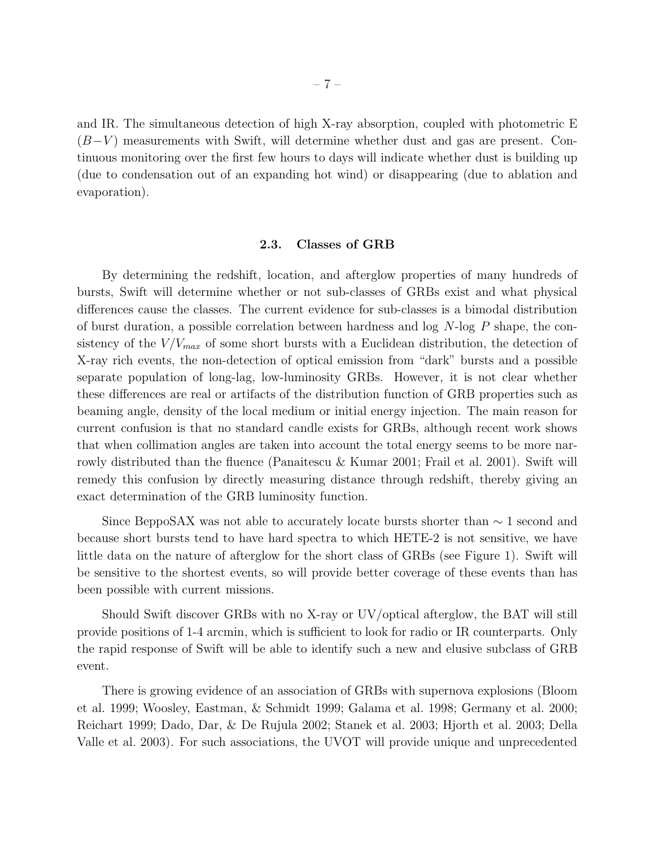and IR. The simultaneous detection of high X-ray absorption, coupled with photometric E  $(B-V)$  measurements with Swift, will determine whether dust and gas are present. Continuous monitoring over the first few hours to days will indicate whether dust is building up (due to condensation out of an expanding hot wind) or disappearing (due to ablation and evaporation).

#### 2.3. Classes of GRB

By determining the redshift, location, and afterglow properties of many hundreds of bursts, Swift will determine whether or not sub-classes of GRBs exist and what physical differences cause the classes. The current evidence for sub-classes is a bimodal distribution of burst duration, a possible correlation between hardness and log N-log P shape, the consistency of the  $V/V_{max}$  of some short bursts with a Euclidean distribution, the detection of X-ray rich events, the non-detection of optical emission from "dark" bursts and a possible separate population of long-lag, low-luminosity GRBs. However, it is not clear whether these differences are real or artifacts of the distribution function of GRB properties such as beaming angle, density of the local medium or initial energy injection. The main reason for current confusion is that no standard candle exists for GRBs, although recent work shows that when collimation angles are taken into account the total energy seems to be more narrowly distributed than the fluence (Panaitescu & Kumar 2001; Frail et al. 2001). Swift will remedy this confusion by directly measuring distance through redshift, thereby giving an exact determination of the GRB luminosity function.

Since BeppoSAX was not able to accurately locate bursts shorter than ∼ 1 second and because short bursts tend to have hard spectra to which HETE-2 is not sensitive, we have little data on the nature of afterglow for the short class of GRBs (see Figure 1). Swift will be sensitive to the shortest events, so will provide better coverage of these events than has been possible with current missions.

Should Swift discover GRBs with no X-ray or UV/optical afterglow, the BAT will still provide positions of 1-4 arcmin, which is sufficient to look for radio or IR counterparts. Only the rapid response of Swift will be able to identify such a new and elusive subclass of GRB event.

There is growing evidence of an association of GRBs with supernova explosions (Bloom et al. 1999; Woosley, Eastman, & Schmidt 1999; Galama et al. 1998; Germany et al. 2000; Reichart 1999; Dado, Dar, & De Rujula 2002; Stanek et al. 2003; Hjorth et al. 2003; Della Valle et al. 2003). For such associations, the UVOT will provide unique and unprecedented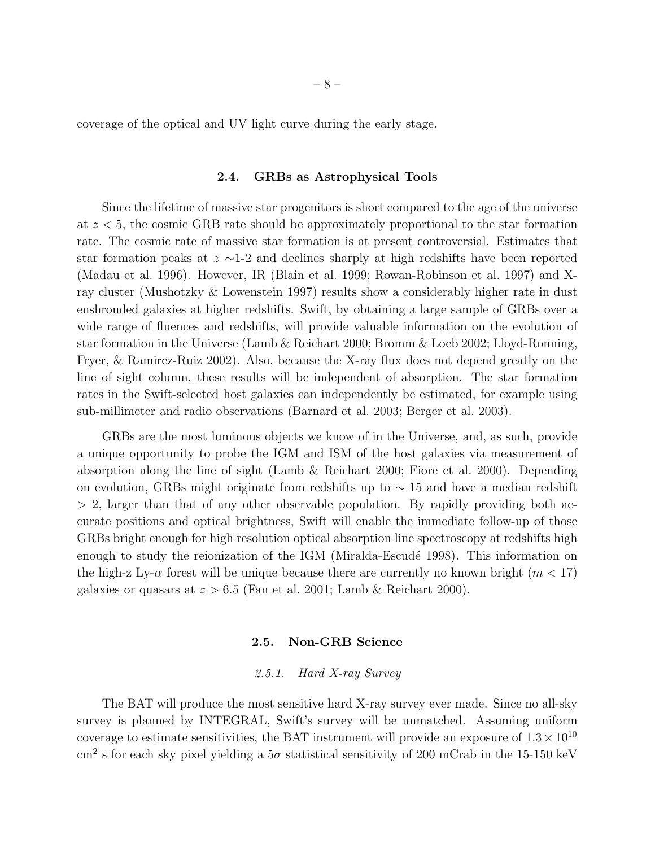coverage of the optical and UV light curve during the early stage.

#### 2.4. GRBs as Astrophysical Tools

Since the lifetime of massive star progenitors is short compared to the age of the universe at  $z < 5$ , the cosmic GRB rate should be approximately proportional to the star formation rate. The cosmic rate of massive star formation is at present controversial. Estimates that star formation peaks at z ∼1-2 and declines sharply at high redshifts have been reported (Madau et al. 1996). However, IR (Blain et al. 1999; Rowan-Robinson et al. 1997) and Xray cluster (Mushotzky & Lowenstein 1997) results show a considerably higher rate in dust enshrouded galaxies at higher redshifts. Swift, by obtaining a large sample of GRBs over a wide range of fluences and redshifts, will provide valuable information on the evolution of star formation in the Universe (Lamb & Reichart 2000; Bromm & Loeb 2002; Lloyd-Ronning, Fryer, & Ramirez-Ruiz 2002). Also, because the X-ray flux does not depend greatly on the line of sight column, these results will be independent of absorption. The star formation rates in the Swift-selected host galaxies can independently be estimated, for example using sub-millimeter and radio observations (Barnard et al. 2003; Berger et al. 2003).

GRBs are the most luminous objects we know of in the Universe, and, as such, provide a unique opportunity to probe the IGM and ISM of the host galaxies via measurement of absorption along the line of sight (Lamb & Reichart 2000; Fiore et al. 2000). Depending on evolution, GRBs might originate from redshifts up to  $\sim$  15 and have a median redshift  $> 2$ , larger than that of any other observable population. By rapidly providing both accurate positions and optical brightness, Swift will enable the immediate follow-up of those GRBs bright enough for high resolution optical absorption line spectroscopy at redshifts high enough to study the reionization of the IGM (Miralda-Escudé 1998). This information on the high-z Ly- $\alpha$  forest will be unique because there are currently no known bright  $(m < 17)$ galaxies or quasars at  $z > 6.5$  (Fan et al. 2001; Lamb & Reichart 2000).

#### 2.5. Non-GRB Science

# *2.5.1. Hard X-ray Survey*

The BAT will produce the most sensitive hard X-ray survey ever made. Since no all-sky survey is planned by INTEGRAL, Swift's survey will be unmatched. Assuming uniform coverage to estimate sensitivities, the BAT instrument will provide an exposure of  $1.3 \times 10^{10}$  $\text{cm}^2$  s for each sky pixel yielding a  $5\sigma$  statistical sensitivity of 200 mCrab in the 15-150 keV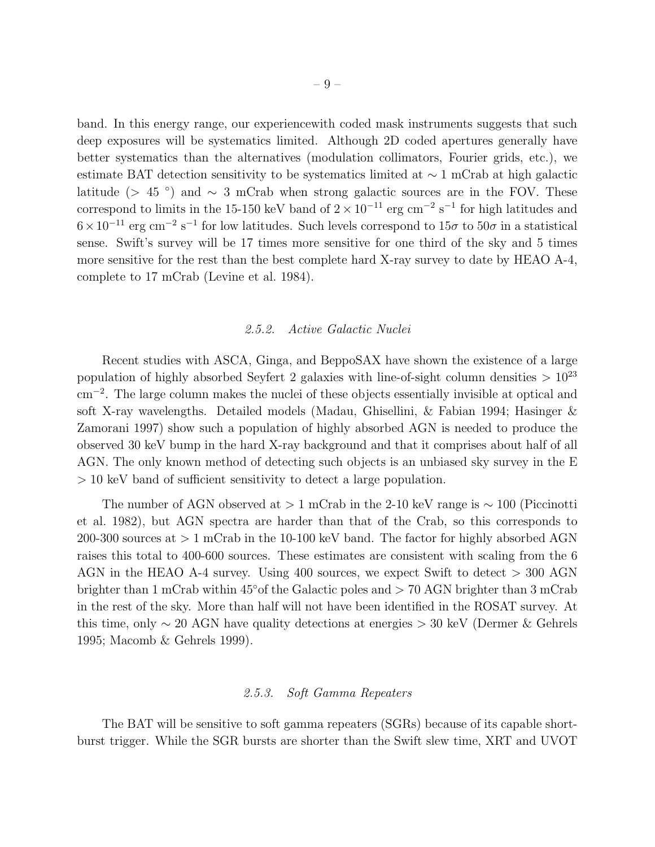band. In this energy range, our experiencewith coded mask instruments suggests that such deep exposures will be systematics limited. Although 2D coded apertures generally have better systematics than the alternatives (modulation collimators, Fourier grids, etc.), we estimate BAT detection sensitivity to be systematics limited at ∼ 1 mCrab at high galactic latitude (> 45 °) and  $\sim$  3 mCrab when strong galactic sources are in the FOV. These correspond to limits in the 15-150 keV band of  $2 \times 10^{-11}$  erg cm<sup>-2</sup> s<sup>-1</sup> for high latitudes and  $6 \times 10^{-11}$  erg cm<sup>-2</sup> s<sup>-1</sup> for low latitudes. Such levels correspond to  $15\sigma$  to  $50\sigma$  in a statistical sense. Swift's survey will be 17 times more sensitive for one third of the sky and 5 times more sensitive for the rest than the best complete hard X-ray survey to date by HEAO A-4, complete to 17 mCrab (Levine et al. 1984).

#### *2.5.2. Active Galactic Nuclei*

Recent studies with ASCA, Ginga, and BeppoSAX have shown the existence of a large population of highly absorbed Seyfert 2 galaxies with line-of-sight column densities  $> 10^{23}$ cm<sup>−</sup><sup>2</sup> . The large column makes the nuclei of these objects essentially invisible at optical and soft X-ray wavelengths. Detailed models (Madau, Ghisellini, & Fabian 1994; Hasinger & Zamorani 1997) show such a population of highly absorbed AGN is needed to produce the observed 30 keV bump in the hard X-ray background and that it comprises about half of all AGN. The only known method of detecting such objects is an unbiased sky survey in the E > 10 keV band of sufficient sensitivity to detect a large population.

The number of AGN observed at > 1 mCrab in the 2-10 keV range is  $\sim 100$  (Piccinotti et al. 1982), but AGN spectra are harder than that of the Crab, so this corresponds to 200-300 sources at  $> 1$  mCrab in the 10-100 keV band. The factor for highly absorbed AGN raises this total to 400-600 sources. These estimates are consistent with scaling from the 6 AGN in the HEAO A-4 survey. Using 400 sources, we expect Swift to detect > 300 AGN brighter than 1 mCrab within 45◦of the Galactic poles and > 70 AGN brighter than 3 mCrab in the rest of the sky. More than half will not have been identified in the ROSAT survey. At this time, only  $\sim 20$  AGN have quality detections at energies  $> 30$  keV (Dermer & Gehrels 1995; Macomb & Gehrels 1999).

#### *2.5.3. Soft Gamma Repeaters*

The BAT will be sensitive to soft gamma repeaters (SGRs) because of its capable shortburst trigger. While the SGR bursts are shorter than the Swift slew time, XRT and UVOT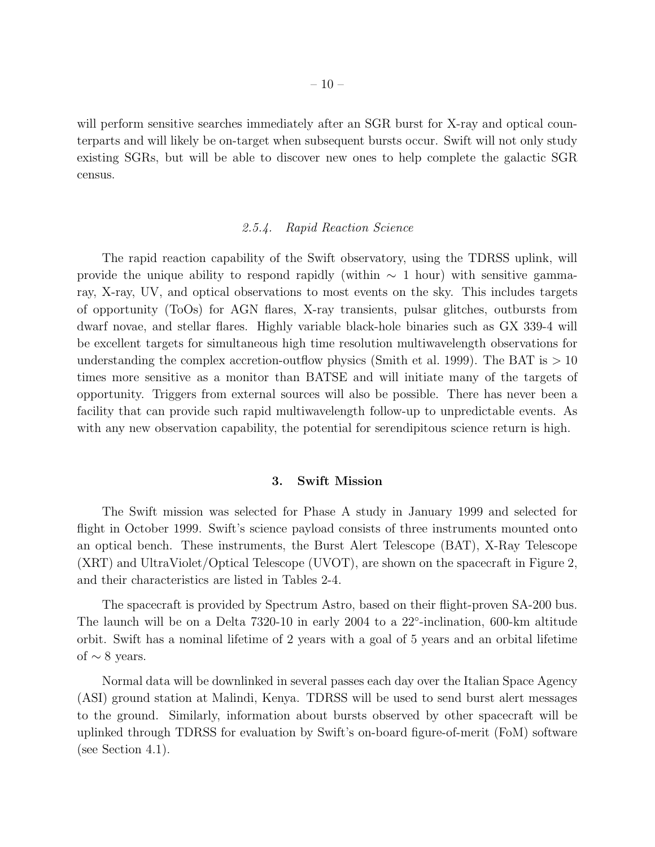will perform sensitive searches immediately after an SGR burst for X-ray and optical counterparts and will likely be on-target when subsequent bursts occur. Swift will not only study existing SGRs, but will be able to discover new ones to help complete the galactic SGR census.

#### *2.5.4. Rapid Reaction Science*

The rapid reaction capability of the Swift observatory, using the TDRSS uplink, will provide the unique ability to respond rapidly (within  $\sim 1$  hour) with sensitive gammaray, X-ray, UV, and optical observations to most events on the sky. This includes targets of opportunity (ToOs) for AGN flares, X-ray transients, pulsar glitches, outbursts from dwarf novae, and stellar flares. Highly variable black-hole binaries such as GX 339-4 will be excellent targets for simultaneous high time resolution multiwavelength observations for understanding the complex accretion-outflow physics (Smith et al. 1999). The BAT is  $> 10$ times more sensitive as a monitor than BATSE and will initiate many of the targets of opportunity. Triggers from external sources will also be possible. There has never been a facility that can provide such rapid multiwavelength follow-up to unpredictable events. As with any new observation capability, the potential for serendipitous science return is high.

#### 3. Swift Mission

The Swift mission was selected for Phase A study in January 1999 and selected for flight in October 1999. Swift's science payload consists of three instruments mounted onto an optical bench. These instruments, the Burst Alert Telescope (BAT), X-Ray Telescope (XRT) and UltraViolet/Optical Telescope (UVOT), are shown on the spacecraft in Figure 2, and their characteristics are listed in Tables 2-4.

The spacecraft is provided by Spectrum Astro, based on their flight-proven SA-200 bus. The launch will be on a Delta 7320-10 in early 2004 to a 22<sup>°</sup>-inclination, 600-km altitude orbit. Swift has a nominal lifetime of 2 years with a goal of 5 years and an orbital lifetime of  $\sim$  8 years.

Normal data will be downlinked in several passes each day over the Italian Space Agency (ASI) ground station at Malindi, Kenya. TDRSS will be used to send burst alert messages to the ground. Similarly, information about bursts observed by other spacecraft will be uplinked through TDRSS for evaluation by Swift's on-board figure-of-merit (FoM) software (see Section 4.1).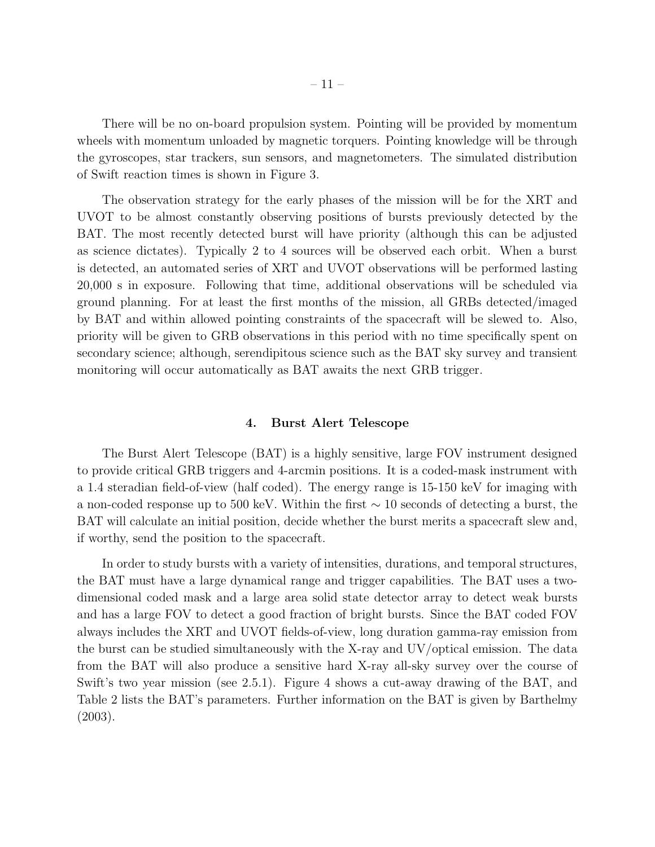There will be no on-board propulsion system. Pointing will be provided by momentum wheels with momentum unloaded by magnetic torquers. Pointing knowledge will be through the gyroscopes, star trackers, sun sensors, and magnetometers. The simulated distribution of Swift reaction times is shown in Figure 3.

The observation strategy for the early phases of the mission will be for the XRT and UVOT to be almost constantly observing positions of bursts previously detected by the BAT. The most recently detected burst will have priority (although this can be adjusted as science dictates). Typically 2 to 4 sources will be observed each orbit. When a burst is detected, an automated series of XRT and UVOT observations will be performed lasting 20,000 s in exposure. Following that time, additional observations will be scheduled via ground planning. For at least the first months of the mission, all GRBs detected/imaged by BAT and within allowed pointing constraints of the spacecraft will be slewed to. Also, priority will be given to GRB observations in this period with no time specifically spent on secondary science; although, serendipitous science such as the BAT sky survey and transient monitoring will occur automatically as BAT awaits the next GRB trigger.

# 4. Burst Alert Telescope

The Burst Alert Telescope (BAT) is a highly sensitive, large FOV instrument designed to provide critical GRB triggers and 4-arcmin positions. It is a coded-mask instrument with a 1.4 steradian field-of-view (half coded). The energy range is 15-150 keV for imaging with a non-coded response up to 500 keV. Within the first ∼ 10 seconds of detecting a burst, the BAT will calculate an initial position, decide whether the burst merits a spacecraft slew and, if worthy, send the position to the spacecraft.

In order to study bursts with a variety of intensities, durations, and temporal structures, the BAT must have a large dynamical range and trigger capabilities. The BAT uses a twodimensional coded mask and a large area solid state detector array to detect weak bursts and has a large FOV to detect a good fraction of bright bursts. Since the BAT coded FOV always includes the XRT and UVOT fields-of-view, long duration gamma-ray emission from the burst can be studied simultaneously with the X-ray and UV/optical emission. The data from the BAT will also produce a sensitive hard X-ray all-sky survey over the course of Swift's two year mission (see 2.5.1). Figure 4 shows a cut-away drawing of the BAT, and Table 2 lists the BAT's parameters. Further information on the BAT is given by Barthelmy (2003).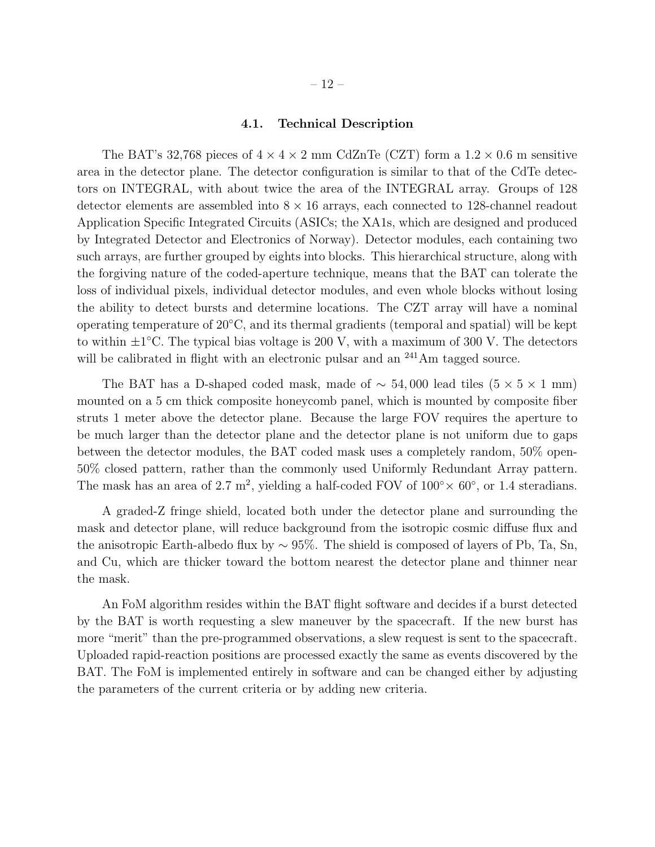# 4.1. Technical Description

The BAT's 32,768 pieces of  $4 \times 4 \times 2$  mm CdZnTe (CZT) form a  $1.2 \times 0.6$  m sensitive area in the detector plane. The detector configuration is similar to that of the CdTe detectors on INTEGRAL, with about twice the area of the INTEGRAL array. Groups of 128 detector elements are assembled into  $8 \times 16$  arrays, each connected to 128-channel readout Application Specific Integrated Circuits (ASICs; the XA1s, which are designed and produced by Integrated Detector and Electronics of Norway). Detector modules, each containing two such arrays, are further grouped by eights into blocks. This hierarchical structure, along with the forgiving nature of the coded-aperture technique, means that the BAT can tolerate the loss of individual pixels, individual detector modules, and even whole blocks without losing the ability to detect bursts and determine locations. The CZT array will have a nominal operating temperature of 20◦C, and its thermal gradients (temporal and spatial) will be kept to within  $\pm 1^{\circ}$ C. The typical bias voltage is 200 V, with a maximum of 300 V. The detectors will be calibrated in flight with an electronic pulsar and an <sup>241</sup>Am tagged source.

The BAT has a D-shaped coded mask, made of  $\sim$  54,000 lead tiles (5  $\times$  5  $\times$  1 mm) mounted on a 5 cm thick composite honeycomb panel, which is mounted by composite fiber struts 1 meter above the detector plane. Because the large FOV requires the aperture to be much larger than the detector plane and the detector plane is not uniform due to gaps between the detector modules, the BAT coded mask uses a completely random, 50% open-50% closed pattern, rather than the commonly used Uniformly Redundant Array pattern. The mask has an area of 2.7 m<sup>2</sup>, yielding a half-coded FOV of  $100^{\circ} \times 60^{\circ}$ , or 1.4 steradians.

A graded-Z fringe shield, located both under the detector plane and surrounding the mask and detector plane, will reduce background from the isotropic cosmic diffuse flux and the anisotropic Earth-albedo flux by  $\sim$  95%. The shield is composed of layers of Pb, Ta, Sn, and Cu, which are thicker toward the bottom nearest the detector plane and thinner near the mask.

An FoM algorithm resides within the BAT flight software and decides if a burst detected by the BAT is worth requesting a slew maneuver by the spacecraft. If the new burst has more "merit" than the pre-programmed observations, a slew request is sent to the spacecraft. Uploaded rapid-reaction positions are processed exactly the same as events discovered by the BAT. The FoM is implemented entirely in software and can be changed either by adjusting the parameters of the current criteria or by adding new criteria.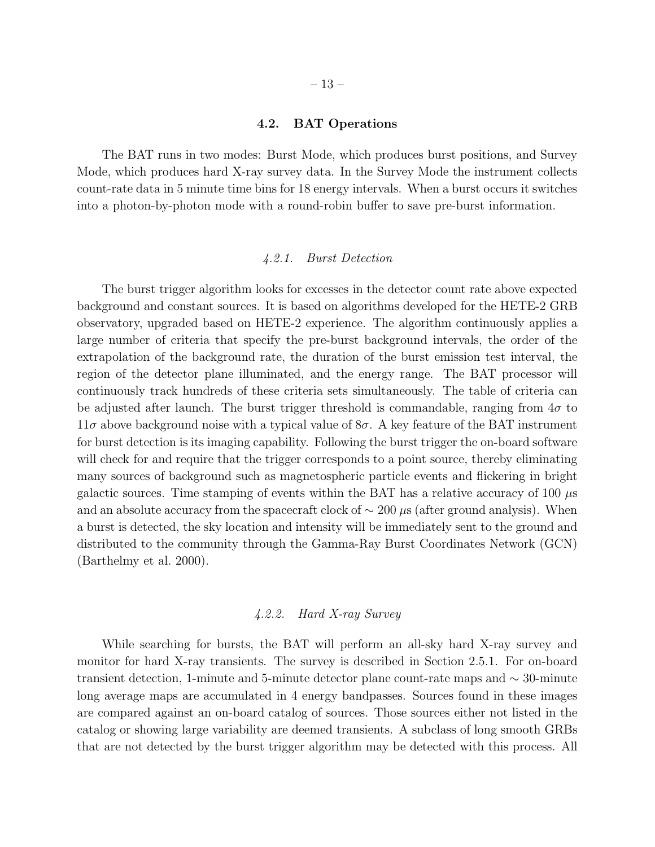# 4.2. BAT Operations

The BAT runs in two modes: Burst Mode, which produces burst positions, and Survey Mode, which produces hard X-ray survey data. In the Survey Mode the instrument collects count-rate data in 5 minute time bins for 18 energy intervals. When a burst occurs it switches into a photon-by-photon mode with a round-robin buffer to save pre-burst information.

# *4.2.1. Burst Detection*

The burst trigger algorithm looks for excesses in the detector count rate above expected background and constant sources. It is based on algorithms developed for the HETE-2 GRB observatory, upgraded based on HETE-2 experience. The algorithm continuously applies a large number of criteria that specify the pre-burst background intervals, the order of the extrapolation of the background rate, the duration of the burst emission test interval, the region of the detector plane illuminated, and the energy range. The BAT processor will continuously track hundreds of these criteria sets simultaneously. The table of criteria can be adjusted after launch. The burst trigger threshold is commandable, ranging from  $4\sigma$  to  $11\sigma$  above background noise with a typical value of  $8\sigma$ . A key feature of the BAT instrument for burst detection is its imaging capability. Following the burst trigger the on-board software will check for and require that the trigger corresponds to a point source, thereby eliminating many sources of background such as magnetospheric particle events and flickering in bright galactic sources. Time stamping of events within the BAT has a relative accuracy of 100  $\mu$ s and an absolute accuracy from the spacecraft clock of  $\sim 200 \,\mu s$  (after ground analysis). When a burst is detected, the sky location and intensity will be immediately sent to the ground and distributed to the community through the Gamma-Ray Burst Coordinates Network (GCN) (Barthelmy et al. 2000).

# *4.2.2. Hard X-ray Survey*

While searching for bursts, the BAT will perform an all-sky hard X-ray survey and monitor for hard X-ray transients. The survey is described in Section 2.5.1. For on-board transient detection, 1-minute and 5-minute detector plane count-rate maps and ∼ 30-minute long average maps are accumulated in 4 energy bandpasses. Sources found in these images are compared against an on-board catalog of sources. Those sources either not listed in the catalog or showing large variability are deemed transients. A subclass of long smooth GRBs that are not detected by the burst trigger algorithm may be detected with this process. All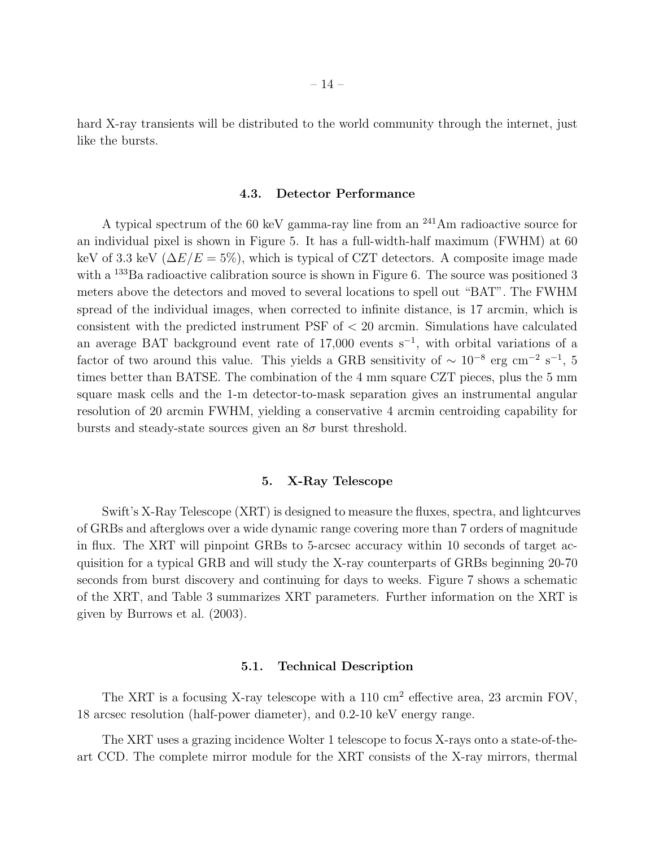hard X-ray transients will be distributed to the world community through the internet, just like the bursts.

#### 4.3. Detector Performance

A typical spectrum of the 60 keV gamma-ray line from an <sup>241</sup>Am radioactive source for an individual pixel is shown in Figure 5. It has a full-width-half maximum (FWHM) at 60 keV of 3.3 keV ( $\Delta E/E = 5\%$ ), which is typical of CZT detectors. A composite image made with a  $^{133}$ Ba radioactive calibration source is shown in Figure 6. The source was positioned 3 meters above the detectors and moved to several locations to spell out "BAT". The FWHM spread of the individual images, when corrected to infinite distance, is 17 arcmin, which is consistent with the predicted instrument PSF of  $<$  20 arcmin. Simulations have calculated an average BAT background event rate of  $17,000$  events s<sup>-1</sup>, with orbital variations of a factor of two around this value. This yields a GRB sensitivity of  $\sim 10^{-8}$  erg cm<sup>-2</sup> s<sup>-1</sup>, 5 times better than BATSE. The combination of the 4 mm square CZT pieces, plus the 5 mm square mask cells and the 1-m detector-to-mask separation gives an instrumental angular resolution of 20 arcmin FWHM, yielding a conservative 4 arcmin centroiding capability for bursts and steady-state sources given an  $8\sigma$  burst threshold.

# 5. X-Ray Telescope

Swift's X-Ray Telescope (XRT) is designed to measure the fluxes, spectra, and lightcurves of GRBs and afterglows over a wide dynamic range covering more than 7 orders of magnitude in flux. The XRT will pinpoint GRBs to 5-arcsec accuracy within 10 seconds of target acquisition for a typical GRB and will study the X-ray counterparts of GRBs beginning 20-70 seconds from burst discovery and continuing for days to weeks. Figure 7 shows a schematic of the XRT, and Table 3 summarizes XRT parameters. Further information on the XRT is given by Burrows et al. (2003).

# 5.1. Technical Description

The XRT is a focusing X-ray telescope with a 110 cm<sup>2</sup> effective area, 23 arcmin FOV, 18 arcsec resolution (half-power diameter), and 0.2-10 keV energy range.

The XRT uses a grazing incidence Wolter 1 telescope to focus X-rays onto a state-of-theart CCD. The complete mirror module for the XRT consists of the X-ray mirrors, thermal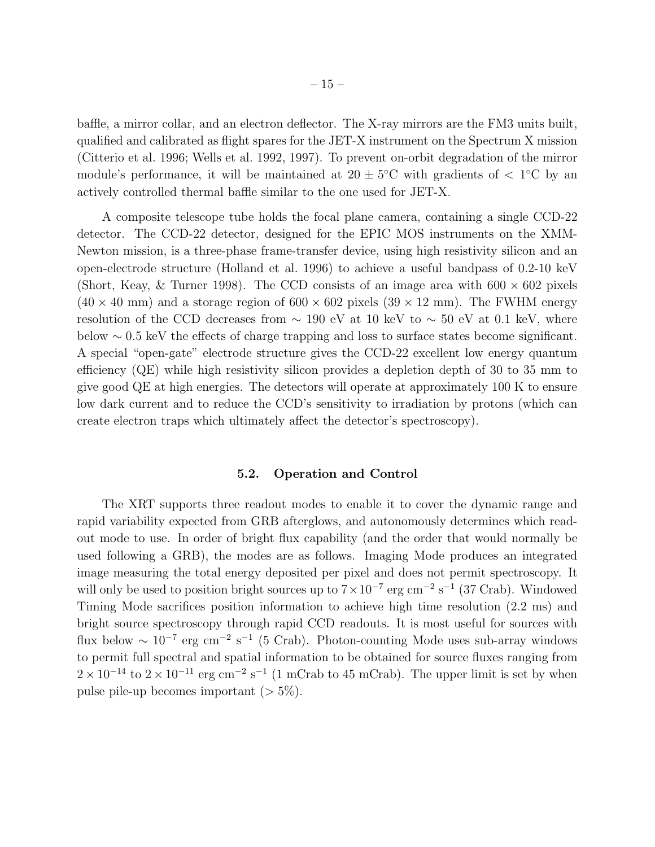baffle, a mirror collar, and an electron deflector. The X-ray mirrors are the FM3 units built, qualified and calibrated as flight spares for the JET-X instrument on the Spectrum X mission (Citterio et al. 1996; Wells et al. 1992, 1997). To prevent on-orbit degradation of the mirror module's performance, it will be maintained at  $20 \pm 5^{\circ}$ C with gradients of  $\lt 1^{\circ}$ C by an actively controlled thermal baffle similar to the one used for JET-X.

A composite telescope tube holds the focal plane camera, containing a single CCD-22 detector. The CCD-22 detector, designed for the EPIC MOS instruments on the XMM-Newton mission, is a three-phase frame-transfer device, using high resistivity silicon and an open-electrode structure (Holland et al. 1996) to achieve a useful bandpass of 0.2-10 keV (Short, Keay, & Turner 1998). The CCD consists of an image area with  $600 \times 602$  pixels  $(40 \times 40 \text{ mm})$  and a storage region of  $600 \times 602$  pixels  $(39 \times 12 \text{ mm})$ . The FWHM energy resolution of the CCD decreases from  $\sim 190$  eV at 10 keV to  $\sim 50$  eV at 0.1 keV, where below ∼ 0.5 keV the effects of charge trapping and loss to surface states become significant. A special "open-gate" electrode structure gives the CCD-22 excellent low energy quantum efficiency (QE) while high resistivity silicon provides a depletion depth of 30 to 35 mm to give good QE at high energies. The detectors will operate at approximately 100 K to ensure low dark current and to reduce the CCD's sensitivity to irradiation by protons (which can create electron traps which ultimately affect the detector's spectroscopy).

#### 5.2. Operation and Control

The XRT supports three readout modes to enable it to cover the dynamic range and rapid variability expected from GRB afterglows, and autonomously determines which readout mode to use. In order of bright flux capability (and the order that would normally be used following a GRB), the modes are as follows. Imaging Mode produces an integrated image measuring the total energy deposited per pixel and does not permit spectroscopy. It will only be used to position bright sources up to  $7 \times 10^{-7}$  erg cm<sup>-2</sup> s<sup>-1</sup> (37 Crab). Windowed Timing Mode sacrifices position information to achieve high time resolution (2.2 ms) and bright source spectroscopy through rapid CCD readouts. It is most useful for sources with flux below  $\sim 10^{-7}$  erg cm<sup>-2</sup> s<sup>-1</sup> (5 Crab). Photon-counting Mode uses sub-array windows to permit full spectral and spatial information to be obtained for source fluxes ranging from  $2 \times 10^{-14}$  to  $2 \times 10^{-11}$  erg cm<sup>-2</sup> s<sup>-1</sup> (1 mCrab to 45 mCrab). The upper limit is set by when pulse pile-up becomes important  $($  > 5\%).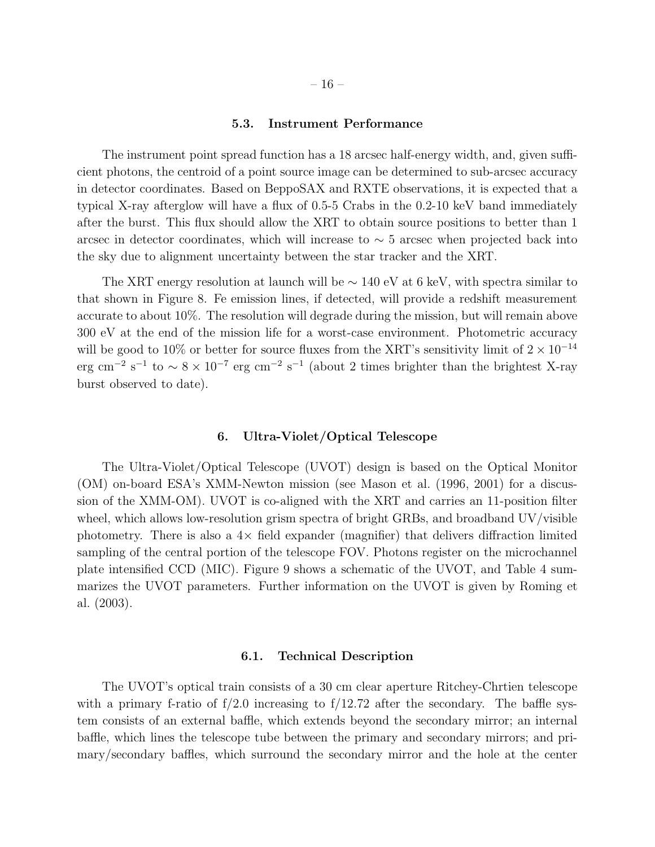#### 5.3. Instrument Performance

The instrument point spread function has a 18 arcsec half-energy width, and, given sufficient photons, the centroid of a point source image can be determined to sub-arcsec accuracy in detector coordinates. Based on BeppoSAX and RXTE observations, it is expected that a typical X-ray afterglow will have a flux of 0.5-5 Crabs in the 0.2-10 keV band immediately after the burst. This flux should allow the XRT to obtain source positions to better than 1 arcsec in detector coordinates, which will increase to  $\sim$  5 arcsec when projected back into the sky due to alignment uncertainty between the star tracker and the XRT.

The XRT energy resolution at launch will be  $\sim 140$  eV at 6 keV, with spectra similar to that shown in Figure 8. Fe emission lines, if detected, will provide a redshift measurement accurate to about 10%. The resolution will degrade during the mission, but will remain above 300 eV at the end of the mission life for a worst-case environment. Photometric accuracy will be good to 10% or better for source fluxes from the XRT's sensitivity limit of  $2 \times 10^{-14}$ erg cm<sup>-2</sup> s<sup>-1</sup> to ~ 8 × 10<sup>-7</sup> erg cm<sup>-2</sup> s<sup>-1</sup> (about 2 times brighter than the brightest X-ray burst observed to date).

#### 6. Ultra-Violet/Optical Telescope

The Ultra-Violet/Optical Telescope (UVOT) design is based on the Optical Monitor (OM) on-board ESA's XMM-Newton mission (see Mason et al. (1996, 2001) for a discussion of the XMM-OM). UVOT is co-aligned with the XRT and carries an 11-position filter wheel, which allows low-resolution grism spectra of bright GRBs, and broadband UV/visible photometry. There is also a  $4\times$  field expander (magnifier) that delivers diffraction limited sampling of the central portion of the telescope FOV. Photons register on the microchannel plate intensified CCD (MIC). Figure 9 shows a schematic of the UVOT, and Table 4 summarizes the UVOT parameters. Further information on the UVOT is given by Roming et al. (2003).

# 6.1. Technical Description

The UVOT's optical train consists of a 30 cm clear aperture Ritchey-Chrtien telescope with a primary f-ratio of  $f/2.0$  increasing to  $f/12.72$  after the secondary. The baffle system consists of an external baffle, which extends beyond the secondary mirror; an internal baffle, which lines the telescope tube between the primary and secondary mirrors; and primary/secondary baffles, which surround the secondary mirror and the hole at the center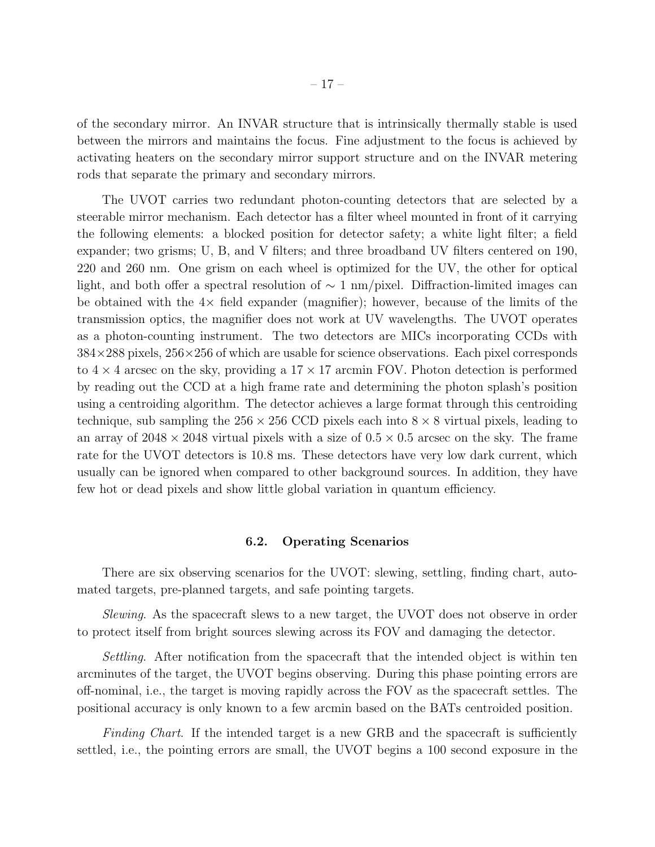of the secondary mirror. An INVAR structure that is intrinsically thermally stable is used between the mirrors and maintains the focus. Fine adjustment to the focus is achieved by activating heaters on the secondary mirror support structure and on the INVAR metering rods that separate the primary and secondary mirrors.

The UVOT carries two redundant photon-counting detectors that are selected by a steerable mirror mechanism. Each detector has a filter wheel mounted in front of it carrying the following elements: a blocked position for detector safety; a white light filter; a field expander; two grisms; U, B, and V filters; and three broadband UV filters centered on 190, 220 and 260 nm. One grism on each wheel is optimized for the UV, the other for optical light, and both offer a spectral resolution of  $\sim 1 \text{ nm/pixel}$ . Diffraction-limited images can be obtained with the  $4\times$  field expander (magnifier); however, because of the limits of the transmission optics, the magnifier does not work at UV wavelengths. The UVOT operates as a photon-counting instrument. The two detectors are MICs incorporating CCDs with  $384\times288$  pixels,  $256\times256$  of which are usable for science observations. Each pixel corresponds to  $4 \times 4$  arcsec on the sky, providing a  $17 \times 17$  arcmin FOV. Photon detection is performed by reading out the CCD at a high frame rate and determining the photon splash's position using a centroiding algorithm. The detector achieves a large format through this centroiding technique, sub sampling the  $256 \times 256$  CCD pixels each into  $8 \times 8$  virtual pixels, leading to an array of  $2048 \times 2048$  virtual pixels with a size of  $0.5 \times 0.5$  arcsec on the sky. The frame rate for the UVOT detectors is 10.8 ms. These detectors have very low dark current, which usually can be ignored when compared to other background sources. In addition, they have few hot or dead pixels and show little global variation in quantum efficiency.

#### 6.2. Operating Scenarios

There are six observing scenarios for the UVOT: slewing, settling, finding chart, automated targets, pre-planned targets, and safe pointing targets.

*Slewing*. As the spacecraft slews to a new target, the UVOT does not observe in order to protect itself from bright sources slewing across its FOV and damaging the detector.

*Settling*. After notification from the spacecraft that the intended object is within ten arcminutes of the target, the UVOT begins observing. During this phase pointing errors are off-nominal, i.e., the target is moving rapidly across the FOV as the spacecraft settles. The positional accuracy is only known to a few arcmin based on the BATs centroided position.

*Finding Chart*. If the intended target is a new GRB and the spacecraft is sufficiently settled, i.e., the pointing errors are small, the UVOT begins a 100 second exposure in the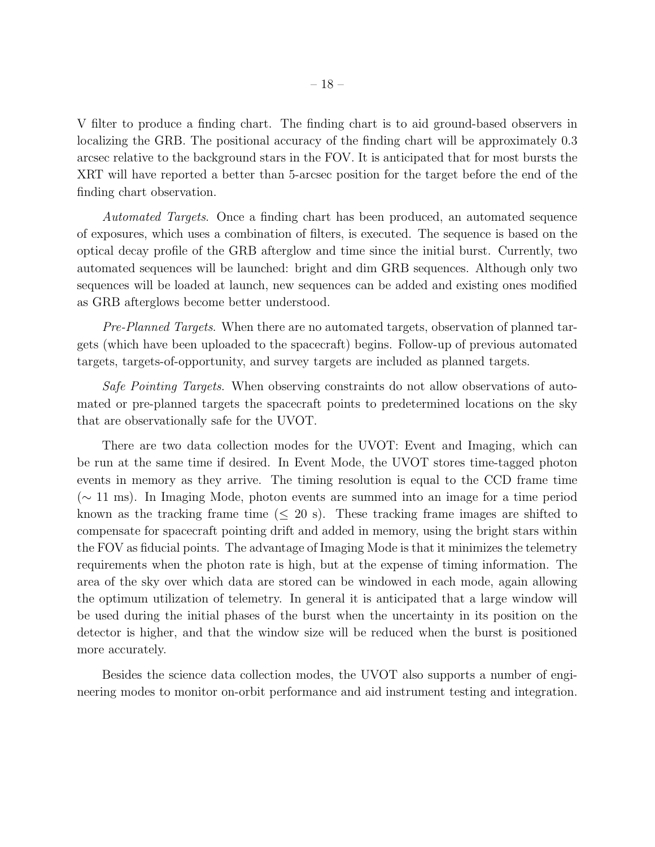V filter to produce a finding chart. The finding chart is to aid ground-based observers in localizing the GRB. The positional accuracy of the finding chart will be approximately 0.3 arcsec relative to the background stars in the FOV. It is anticipated that for most bursts the XRT will have reported a better than 5-arcsec position for the target before the end of the finding chart observation.

*Automated Targets*. Once a finding chart has been produced, an automated sequence of exposures, which uses a combination of filters, is executed. The sequence is based on the optical decay profile of the GRB afterglow and time since the initial burst. Currently, two automated sequences will be launched: bright and dim GRB sequences. Although only two sequences will be loaded at launch, new sequences can be added and existing ones modified as GRB afterglows become better understood.

*Pre-Planned Targets*. When there are no automated targets, observation of planned targets (which have been uploaded to the spacecraft) begins. Follow-up of previous automated targets, targets-of-opportunity, and survey targets are included as planned targets.

*Safe Pointing Targets*. When observing constraints do not allow observations of automated or pre-planned targets the spacecraft points to predetermined locations on the sky that are observationally safe for the UVOT.

There are two data collection modes for the UVOT: Event and Imaging, which can be run at the same time if desired. In Event Mode, the UVOT stores time-tagged photon events in memory as they arrive. The timing resolution is equal to the CCD frame time (∼ 11 ms). In Imaging Mode, photon events are summed into an image for a time period known as the tracking frame time  $(\leq 20 \text{ s})$ . These tracking frame images are shifted to compensate for spacecraft pointing drift and added in memory, using the bright stars within the FOV as fiducial points. The advantage of Imaging Mode is that it minimizes the telemetry requirements when the photon rate is high, but at the expense of timing information. The area of the sky over which data are stored can be windowed in each mode, again allowing the optimum utilization of telemetry. In general it is anticipated that a large window will be used during the initial phases of the burst when the uncertainty in its position on the detector is higher, and that the window size will be reduced when the burst is positioned more accurately.

Besides the science data collection modes, the UVOT also supports a number of engineering modes to monitor on-orbit performance and aid instrument testing and integration.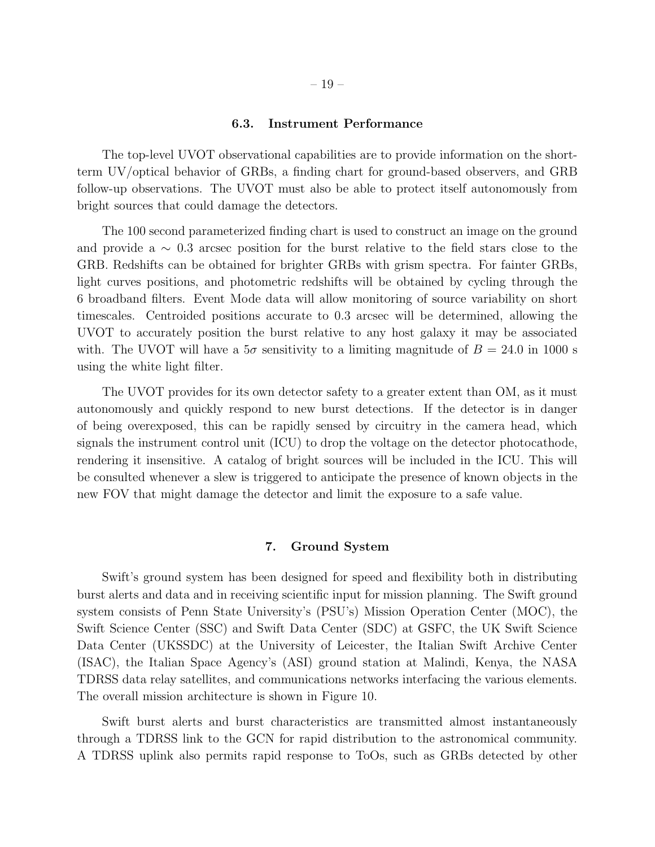#### 6.3. Instrument Performance

The top-level UVOT observational capabilities are to provide information on the shortterm UV/optical behavior of GRBs, a finding chart for ground-based observers, and GRB follow-up observations. The UVOT must also be able to protect itself autonomously from bright sources that could damage the detectors.

The 100 second parameterized finding chart is used to construct an image on the ground and provide a ∼ 0.3 arcsec position for the burst relative to the field stars close to the GRB. Redshifts can be obtained for brighter GRBs with grism spectra. For fainter GRBs, light curves positions, and photometric redshifts will be obtained by cycling through the 6 broadband filters. Event Mode data will allow monitoring of source variability on short timescales. Centroided positions accurate to 0.3 arcsec will be determined, allowing the UVOT to accurately position the burst relative to any host galaxy it may be associated with. The UVOT will have a  $5\sigma$  sensitivity to a limiting magnitude of  $B = 24.0$  in 1000 s using the white light filter.

The UVOT provides for its own detector safety to a greater extent than OM, as it must autonomously and quickly respond to new burst detections. If the detector is in danger of being overexposed, this can be rapidly sensed by circuitry in the camera head, which signals the instrument control unit (ICU) to drop the voltage on the detector photocathode, rendering it insensitive. A catalog of bright sources will be included in the ICU. This will be consulted whenever a slew is triggered to anticipate the presence of known objects in the new FOV that might damage the detector and limit the exposure to a safe value.

# 7. Ground System

Swift's ground system has been designed for speed and flexibility both in distributing burst alerts and data and in receiving scientific input for mission planning. The Swift ground system consists of Penn State University's (PSU's) Mission Operation Center (MOC), the Swift Science Center (SSC) and Swift Data Center (SDC) at GSFC, the UK Swift Science Data Center (UKSSDC) at the University of Leicester, the Italian Swift Archive Center (ISAC), the Italian Space Agency's (ASI) ground station at Malindi, Kenya, the NASA TDRSS data relay satellites, and communications networks interfacing the various elements. The overall mission architecture is shown in Figure 10.

Swift burst alerts and burst characteristics are transmitted almost instantaneously through a TDRSS link to the GCN for rapid distribution to the astronomical community. A TDRSS uplink also permits rapid response to ToOs, such as GRBs detected by other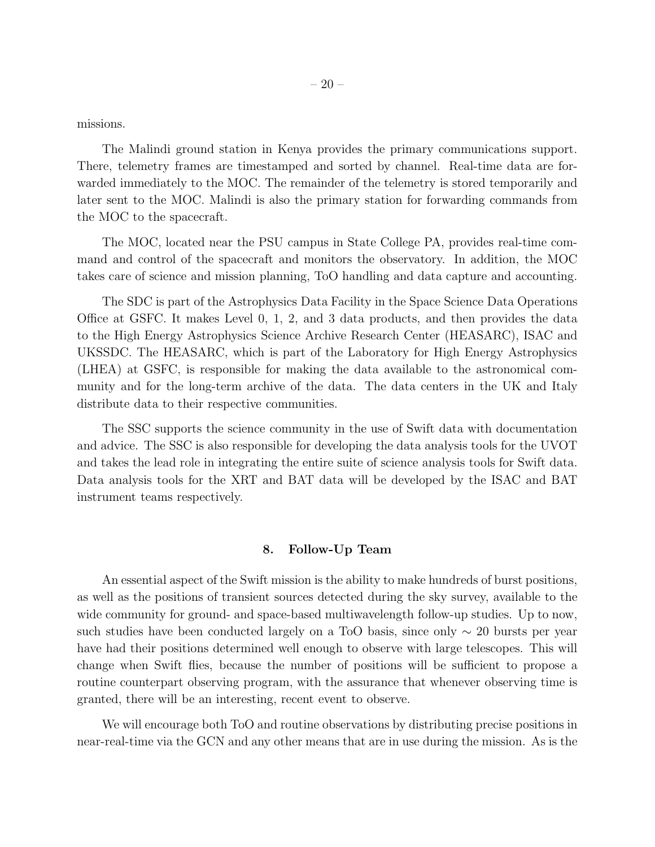missions.

The Malindi ground station in Kenya provides the primary communications support. There, telemetry frames are timestamped and sorted by channel. Real-time data are forwarded immediately to the MOC. The remainder of the telemetry is stored temporarily and later sent to the MOC. Malindi is also the primary station for forwarding commands from the MOC to the spacecraft.

The MOC, located near the PSU campus in State College PA, provides real-time command and control of the spacecraft and monitors the observatory. In addition, the MOC takes care of science and mission planning, ToO handling and data capture and accounting.

The SDC is part of the Astrophysics Data Facility in the Space Science Data Operations Office at GSFC. It makes Level 0, 1, 2, and 3 data products, and then provides the data to the High Energy Astrophysics Science Archive Research Center (HEASARC), ISAC and UKSSDC. The HEASARC, which is part of the Laboratory for High Energy Astrophysics (LHEA) at GSFC, is responsible for making the data available to the astronomical community and for the long-term archive of the data. The data centers in the UK and Italy distribute data to their respective communities.

The SSC supports the science community in the use of Swift data with documentation and advice. The SSC is also responsible for developing the data analysis tools for the UVOT and takes the lead role in integrating the entire suite of science analysis tools for Swift data. Data analysis tools for the XRT and BAT data will be developed by the ISAC and BAT instrument teams respectively.

# 8. Follow-Up Team

An essential aspect of the Swift mission is the ability to make hundreds of burst positions, as well as the positions of transient sources detected during the sky survey, available to the wide community for ground- and space-based multiwavelength follow-up studies. Up to now, such studies have been conducted largely on a ToO basis, since only  $\sim 20$  bursts per year have had their positions determined well enough to observe with large telescopes. This will change when Swift flies, because the number of positions will be sufficient to propose a routine counterpart observing program, with the assurance that whenever observing time is granted, there will be an interesting, recent event to observe.

We will encourage both ToO and routine observations by distributing precise positions in near-real-time via the GCN and any other means that are in use during the mission. As is the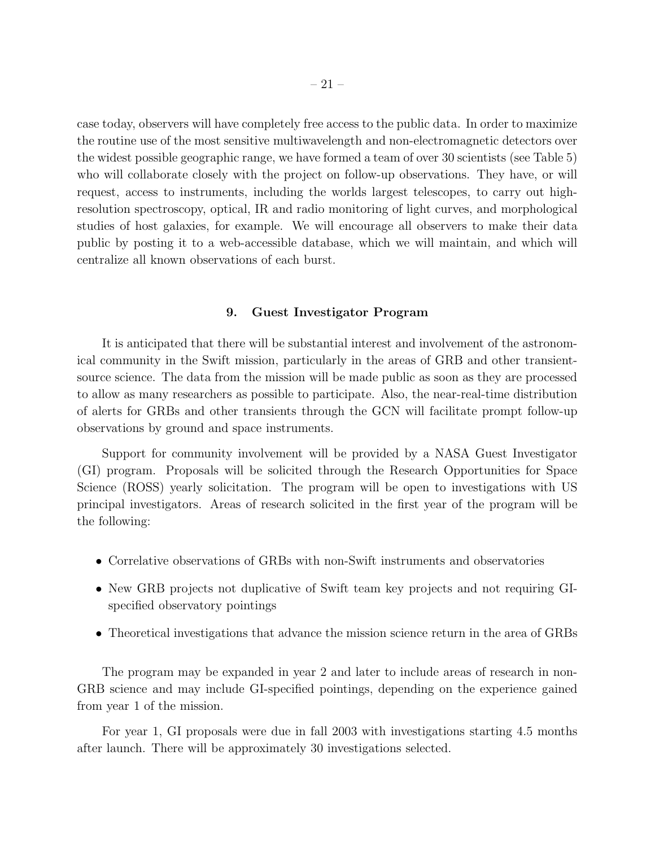case today, observers will have completely free access to the public data. In order to maximize the routine use of the most sensitive multiwavelength and non-electromagnetic detectors over the widest possible geographic range, we have formed a team of over 30 scientists (see Table 5) who will collaborate closely with the project on follow-up observations. They have, or will request, access to instruments, including the worlds largest telescopes, to carry out highresolution spectroscopy, optical, IR and radio monitoring of light curves, and morphological studies of host galaxies, for example. We will encourage all observers to make their data public by posting it to a web-accessible database, which we will maintain, and which will centralize all known observations of each burst.

#### 9. Guest Investigator Program

It is anticipated that there will be substantial interest and involvement of the astronomical community in the Swift mission, particularly in the areas of GRB and other transientsource science. The data from the mission will be made public as soon as they are processed to allow as many researchers as possible to participate. Also, the near-real-time distribution of alerts for GRBs and other transients through the GCN will facilitate prompt follow-up observations by ground and space instruments.

Support for community involvement will be provided by a NASA Guest Investigator (GI) program. Proposals will be solicited through the Research Opportunities for Space Science (ROSS) yearly solicitation. The program will be open to investigations with US principal investigators. Areas of research solicited in the first year of the program will be the following:

- Correlative observations of GRBs with non-Swift instruments and observatories
- New GRB projects not duplicative of Swift team key projects and not requiring GIspecified observatory pointings
- Theoretical investigations that advance the mission science return in the area of GRBs

The program may be expanded in year 2 and later to include areas of research in non-GRB science and may include GI-specified pointings, depending on the experience gained from year 1 of the mission.

For year 1, GI proposals were due in fall 2003 with investigations starting 4.5 months after launch. There will be approximately 30 investigations selected.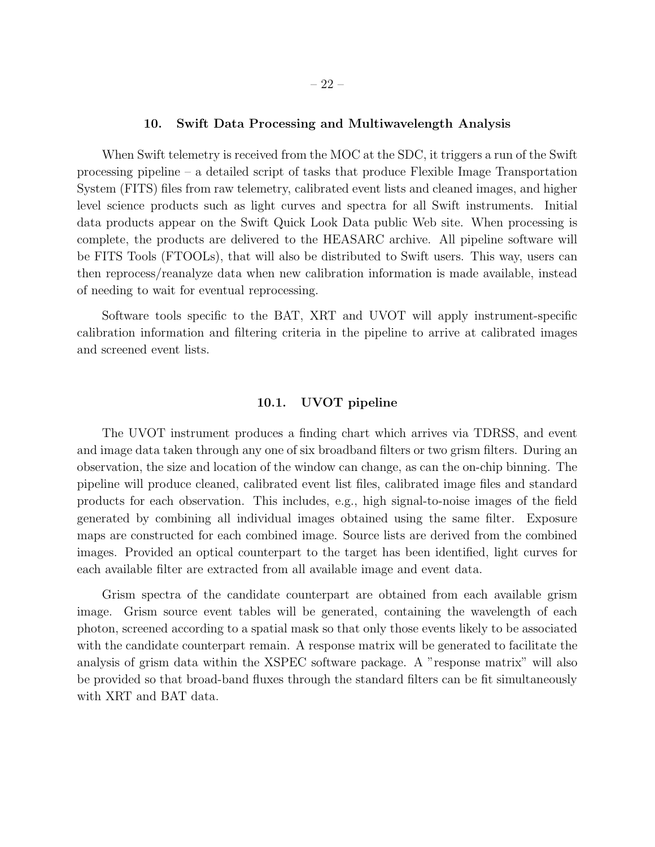# 10. Swift Data Processing and Multiwavelength Analysis

When Swift telemetry is received from the MOC at the SDC, it triggers a run of the Swift processing pipeline – a detailed script of tasks that produce Flexible Image Transportation System (FITS) files from raw telemetry, calibrated event lists and cleaned images, and higher level science products such as light curves and spectra for all Swift instruments. Initial data products appear on the Swift Quick Look Data public Web site. When processing is complete, the products are delivered to the HEASARC archive. All pipeline software will be FITS Tools (FTOOLs), that will also be distributed to Swift users. This way, users can then reprocess/reanalyze data when new calibration information is made available, instead of needing to wait for eventual reprocessing.

Software tools specific to the BAT, XRT and UVOT will apply instrument-specific calibration information and filtering criteria in the pipeline to arrive at calibrated images and screened event lists.

#### 10.1. UVOT pipeline

The UVOT instrument produces a finding chart which arrives via TDRSS, and event and image data taken through any one of six broadband filters or two grism filters. During an observation, the size and location of the window can change, as can the on-chip binning. The pipeline will produce cleaned, calibrated event list files, calibrated image files and standard products for each observation. This includes, e.g., high signal-to-noise images of the field generated by combining all individual images obtained using the same filter. Exposure maps are constructed for each combined image. Source lists are derived from the combined images. Provided an optical counterpart to the target has been identified, light curves for each available filter are extracted from all available image and event data.

Grism spectra of the candidate counterpart are obtained from each available grism image. Grism source event tables will be generated, containing the wavelength of each photon, screened according to a spatial mask so that only those events likely to be associated with the candidate counterpart remain. A response matrix will be generated to facilitate the analysis of grism data within the XSPEC software package. A "response matrix" will also be provided so that broad-band fluxes through the standard filters can be fit simultaneously with XRT and BAT data.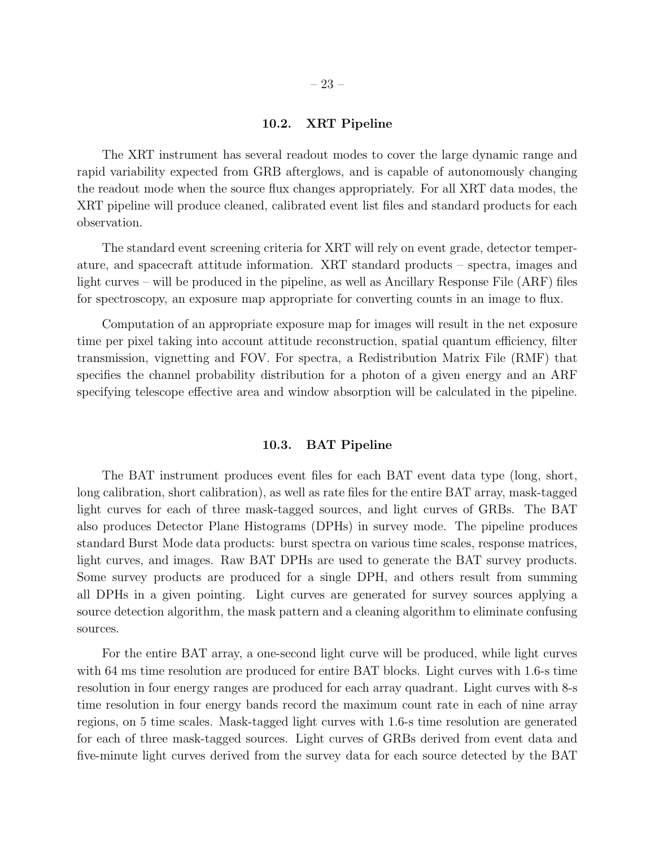# 10.2. XRT Pipeline

The XRT instrument has several readout modes to cover the large dynamic range and rapid variability expected from GRB afterglows, and is capable of autonomously changing the readout mode when the source flux changes appropriately. For all XRT data modes, the XRT pipeline will produce cleaned, calibrated event list files and standard products for each observation.

The standard event screening criteria for XRT will rely on event grade, detector temperature, and spacecraft attitude information. XRT standard products – spectra, images and light curves – will be produced in the pipeline, as well as Ancillary Response File (ARF) files for spectroscopy, an exposure map appropriate for converting counts in an image to flux.

Computation of an appropriate exposure map for images will result in the net exposure time per pixel taking into account attitude reconstruction, spatial quantum efficiency, filter transmission, vignetting and FOV. For spectra, a Redistribution Matrix File (RMF) that specifies the channel probability distribution for a photon of a given energy and an ARF specifying telescope effective area and window absorption will be calculated in the pipeline.

# 10.3. BAT Pipeline

The BAT instrument produces event files for each BAT event data type (long, short, long calibration, short calibration), as well as rate files for the entire BAT array, mask-tagged light curves for each of three mask-tagged sources, and light curves of GRBs. The BAT also produces Detector Plane Histograms (DPHs) in survey mode. The pipeline produces standard Burst Mode data products: burst spectra on various time scales, response matrices, light curves, and images. Raw BAT DPHs are used to generate the BAT survey products. Some survey products are produced for a single DPH, and others result from summing all DPHs in a given pointing. Light curves are generated for survey sources applying a source detection algorithm, the mask pattern and a cleaning algorithm to eliminate confusing sources.

For the entire BAT array, a one-second light curve will be produced, while light curves with 64 ms time resolution are produced for entire BAT blocks. Light curves with 1.6-s time resolution in four energy ranges are produced for each array quadrant. Light curves with 8-s time resolution in four energy bands record the maximum count rate in each of nine array regions, on 5 time scales. Mask-tagged light curves with 1.6-s time resolution are generated for each of three mask-tagged sources. Light curves of GRBs derived from event data and five-minute light curves derived from the survey data for each source detected by the BAT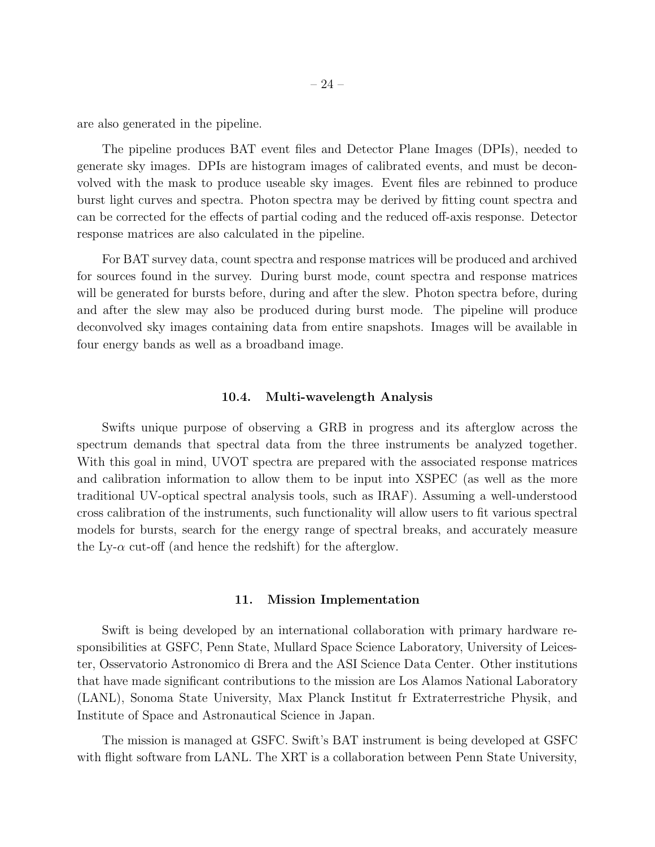are also generated in the pipeline.

The pipeline produces BAT event files and Detector Plane Images (DPIs), needed to generate sky images. DPIs are histogram images of calibrated events, and must be deconvolved with the mask to produce useable sky images. Event files are rebinned to produce burst light curves and spectra. Photon spectra may be derived by fitting count spectra and can be corrected for the effects of partial coding and the reduced off-axis response. Detector response matrices are also calculated in the pipeline.

For BAT survey data, count spectra and response matrices will be produced and archived for sources found in the survey. During burst mode, count spectra and response matrices will be generated for bursts before, during and after the slew. Photon spectra before, during and after the slew may also be produced during burst mode. The pipeline will produce deconvolved sky images containing data from entire snapshots. Images will be available in four energy bands as well as a broadband image.

# 10.4. Multi-wavelength Analysis

Swifts unique purpose of observing a GRB in progress and its afterglow across the spectrum demands that spectral data from the three instruments be analyzed together. With this goal in mind, UVOT spectra are prepared with the associated response matrices and calibration information to allow them to be input into XSPEC (as well as the more traditional UV-optical spectral analysis tools, such as IRAF). Assuming a well-understood cross calibration of the instruments, such functionality will allow users to fit various spectral models for bursts, search for the energy range of spectral breaks, and accurately measure the Ly- $\alpha$  cut-off (and hence the redshift) for the afterglow.

# 11. Mission Implementation

Swift is being developed by an international collaboration with primary hardware responsibilities at GSFC, Penn State, Mullard Space Science Laboratory, University of Leicester, Osservatorio Astronomico di Brera and the ASI Science Data Center. Other institutions that have made significant contributions to the mission are Los Alamos National Laboratory (LANL), Sonoma State University, Max Planck Institut fr Extraterrestriche Physik, and Institute of Space and Astronautical Science in Japan.

The mission is managed at GSFC. Swift's BAT instrument is being developed at GSFC with flight software from LANL. The XRT is a collaboration between Penn State University,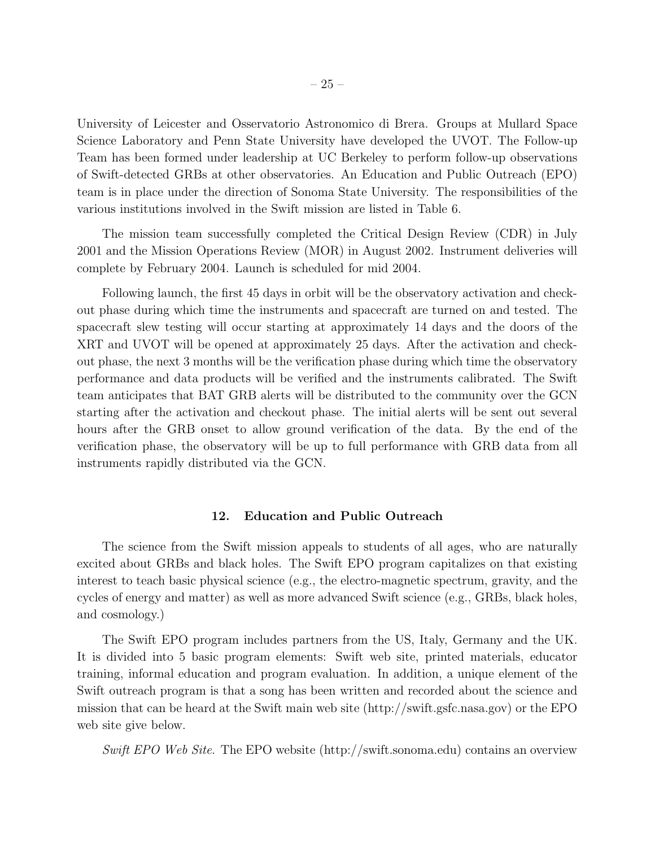University of Leicester and Osservatorio Astronomico di Brera. Groups at Mullard Space Science Laboratory and Penn State University have developed the UVOT. The Follow-up Team has been formed under leadership at UC Berkeley to perform follow-up observations of Swift-detected GRBs at other observatories. An Education and Public Outreach (EPO) team is in place under the direction of Sonoma State University. The responsibilities of the various institutions involved in the Swift mission are listed in Table 6.

The mission team successfully completed the Critical Design Review (CDR) in July 2001 and the Mission Operations Review (MOR) in August 2002. Instrument deliveries will complete by February 2004. Launch is scheduled for mid 2004.

Following launch, the first 45 days in orbit will be the observatory activation and checkout phase during which time the instruments and spacecraft are turned on and tested. The spacecraft slew testing will occur starting at approximately 14 days and the doors of the XRT and UVOT will be opened at approximately 25 days. After the activation and checkout phase, the next 3 months will be the verification phase during which time the observatory performance and data products will be verified and the instruments calibrated. The Swift team anticipates that BAT GRB alerts will be distributed to the community over the GCN starting after the activation and checkout phase. The initial alerts will be sent out several hours after the GRB onset to allow ground verification of the data. By the end of the verification phase, the observatory will be up to full performance with GRB data from all instruments rapidly distributed via the GCN.

#### 12. Education and Public Outreach

The science from the Swift mission appeals to students of all ages, who are naturally excited about GRBs and black holes. The Swift EPO program capitalizes on that existing interest to teach basic physical science (e.g., the electro-magnetic spectrum, gravity, and the cycles of energy and matter) as well as more advanced Swift science (e.g., GRBs, black holes, and cosmology.)

The Swift EPO program includes partners from the US, Italy, Germany and the UK. It is divided into 5 basic program elements: Swift web site, printed materials, educator training, informal education and program evaluation. In addition, a unique element of the Swift outreach program is that a song has been written and recorded about the science and mission that can be heard at the Swift main web site (http://swift.gsfc.nasa.gov) or the EPO web site give below.

*Swift EPO Web Site*. The EPO website (http://swift.sonoma.edu) contains an overview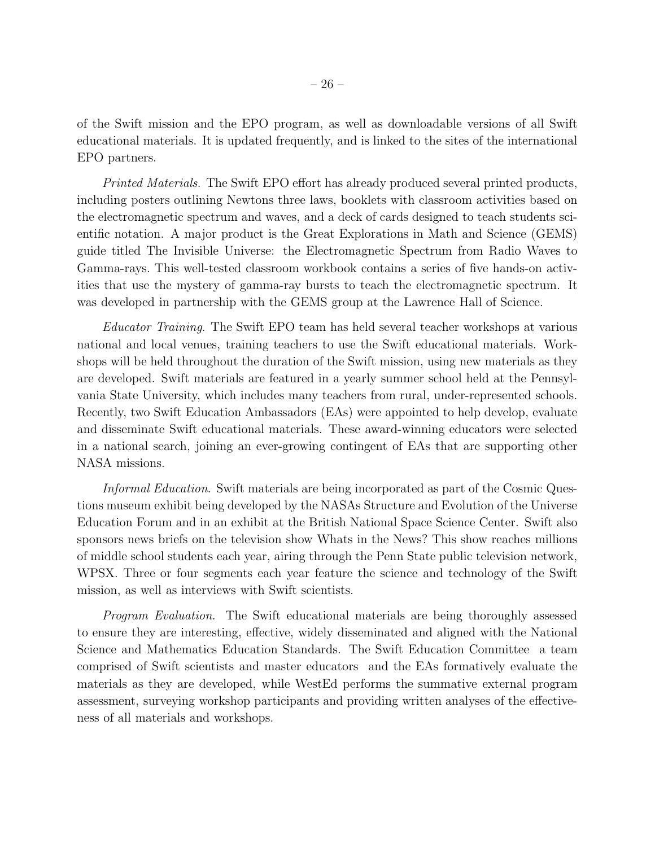of the Swift mission and the EPO program, as well as downloadable versions of all Swift educational materials. It is updated frequently, and is linked to the sites of the international EPO partners.

*Printed Materials*. The Swift EPO effort has already produced several printed products, including posters outlining Newtons three laws, booklets with classroom activities based on the electromagnetic spectrum and waves, and a deck of cards designed to teach students scientific notation. A major product is the Great Explorations in Math and Science (GEMS) guide titled The Invisible Universe: the Electromagnetic Spectrum from Radio Waves to Gamma-rays. This well-tested classroom workbook contains a series of five hands-on activities that use the mystery of gamma-ray bursts to teach the electromagnetic spectrum. It was developed in partnership with the GEMS group at the Lawrence Hall of Science.

*Educator Training*. The Swift EPO team has held several teacher workshops at various national and local venues, training teachers to use the Swift educational materials. Workshops will be held throughout the duration of the Swift mission, using new materials as they are developed. Swift materials are featured in a yearly summer school held at the Pennsylvania State University, which includes many teachers from rural, under-represented schools. Recently, two Swift Education Ambassadors (EAs) were appointed to help develop, evaluate and disseminate Swift educational materials. These award-winning educators were selected in a national search, joining an ever-growing contingent of EAs that are supporting other NASA missions.

*Informal Education*. Swift materials are being incorporated as part of the Cosmic Questions museum exhibit being developed by the NASAs Structure and Evolution of the Universe Education Forum and in an exhibit at the British National Space Science Center. Swift also sponsors news briefs on the television show Whats in the News? This show reaches millions of middle school students each year, airing through the Penn State public television network, WPSX. Three or four segments each year feature the science and technology of the Swift mission, as well as interviews with Swift scientists.

*Program Evaluation*. The Swift educational materials are being thoroughly assessed to ensure they are interesting, effective, widely disseminated and aligned with the National Science and Mathematics Education Standards. The Swift Education Committee a team comprised of Swift scientists and master educators and the EAs formatively evaluate the materials as they are developed, while WestEd performs the summative external program assessment, surveying workshop participants and providing written analyses of the effectiveness of all materials and workshops.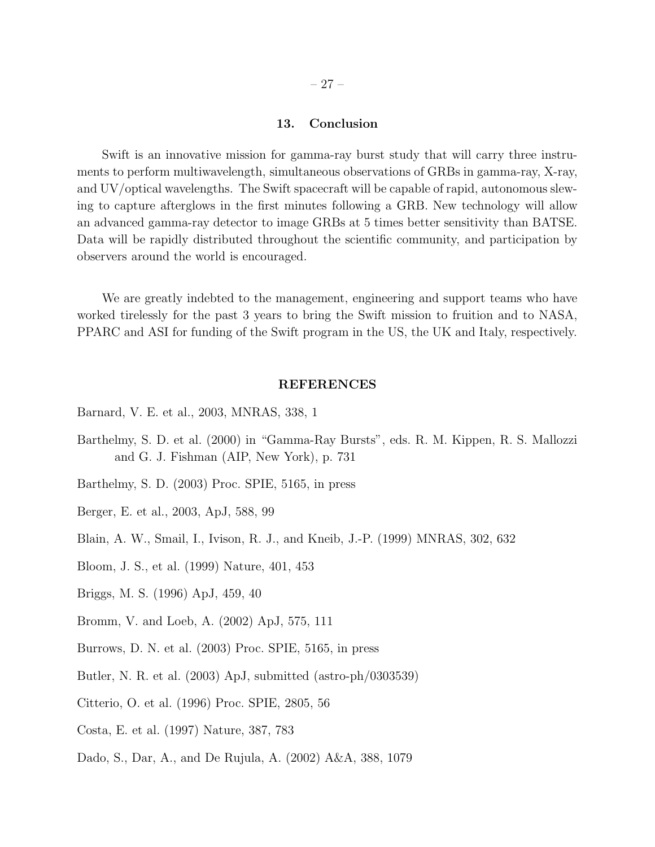# 13. Conclusion

Swift is an innovative mission for gamma-ray burst study that will carry three instruments to perform multiwavelength, simultaneous observations of GRBs in gamma-ray, X-ray, and UV/optical wavelengths. The Swift spacecraft will be capable of rapid, autonomous slewing to capture afterglows in the first minutes following a GRB. New technology will allow an advanced gamma-ray detector to image GRBs at 5 times better sensitivity than BATSE. Data will be rapidly distributed throughout the scientific community, and participation by observers around the world is encouraged.

We are greatly indebted to the management, engineering and support teams who have worked tirelessly for the past 3 years to bring the Swift mission to fruition and to NASA, PPARC and ASI for funding of the Swift program in the US, the UK and Italy, respectively.

#### REFERENCES

- Barnard, V. E. et al., 2003, MNRAS, 338, 1
- Barthelmy, S. D. et al. (2000) in "Gamma-Ray Bursts", eds. R. M. Kippen, R. S. Mallozzi and G. J. Fishman (AIP, New York), p. 731
- Barthelmy, S. D. (2003) Proc. SPIE, 5165, in press
- Berger, E. et al., 2003, ApJ, 588, 99
- Blain, A. W., Smail, I., Ivison, R. J., and Kneib, J.-P. (1999) MNRAS, 302, 632
- Bloom, J. S., et al. (1999) Nature, 401, 453
- Briggs, M. S. (1996) ApJ, 459, 40
- Bromm, V. and Loeb, A. (2002) ApJ, 575, 111
- Burrows, D. N. et al. (2003) Proc. SPIE, 5165, in press
- Butler, N. R. et al. (2003) ApJ, submitted (astro-ph/0303539)
- Citterio, O. et al. (1996) Proc. SPIE, 2805, 56
- Costa, E. et al. (1997) Nature, 387, 783
- Dado, S., Dar, A., and De Rujula, A. (2002) A&A, 388, 1079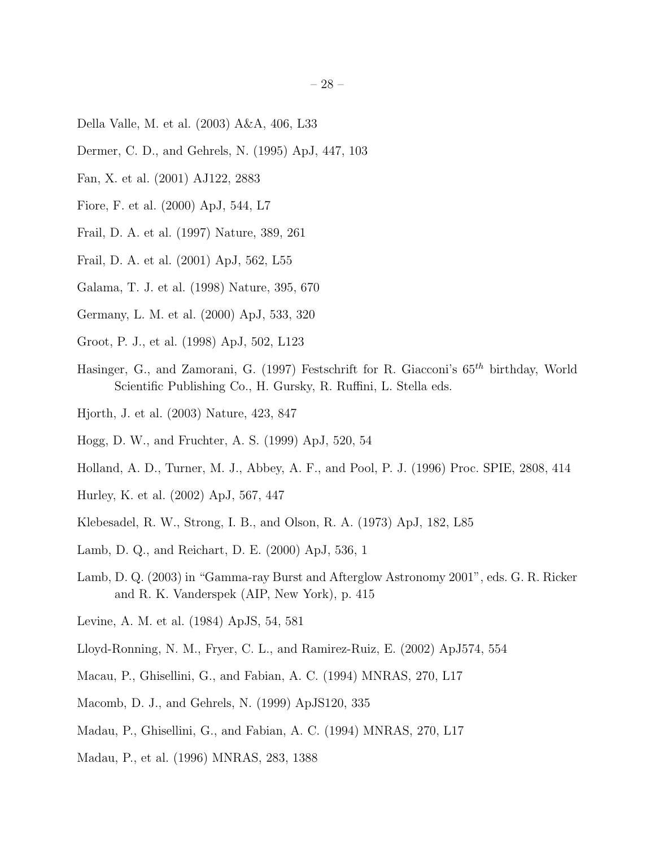- Della Valle, M. et al. (2003) A&A, 406, L33
- Dermer, C. D., and Gehrels, N. (1995) ApJ, 447, 103
- Fan, X. et al. (2001) AJ122, 2883
- Fiore, F. et al. (2000) ApJ, 544, L7
- Frail, D. A. et al. (1997) Nature, 389, 261
- Frail, D. A. et al. (2001) ApJ, 562, L55
- Galama, T. J. et al. (1998) Nature, 395, 670
- Germany, L. M. et al. (2000) ApJ, 533, 320
- Groot, P. J., et al. (1998) ApJ, 502, L123
- Hasinger, G., and Zamorani, G. (1997) Festschrift for R. Giacconi's  $65<sup>th</sup>$  birthday, World Scientific Publishing Co., H. Gursky, R. Ruffini, L. Stella eds.
- Hjorth, J. et al. (2003) Nature, 423, 847
- Hogg, D. W., and Fruchter, A. S. (1999) ApJ, 520, 54
- Holland, A. D., Turner, M. J., Abbey, A. F., and Pool, P. J. (1996) Proc. SPIE, 2808, 414
- Hurley, K. et al. (2002) ApJ, 567, 447
- Klebesadel, R. W., Strong, I. B., and Olson, R. A. (1973) ApJ, 182, L85
- Lamb, D. Q., and Reichart, D. E. (2000) ApJ, 536, 1
- Lamb, D. Q. (2003) in "Gamma-ray Burst and Afterglow Astronomy 2001", eds. G. R. Ricker and R. K. Vanderspek (AIP, New York), p. 415
- Levine, A. M. et al. (1984) ApJS, 54, 581
- Lloyd-Ronning, N. M., Fryer, C. L., and Ramirez-Ruiz, E. (2002) ApJ574, 554
- Macau, P., Ghisellini, G., and Fabian, A. C. (1994) MNRAS, 270, L17
- Macomb, D. J., and Gehrels, N. (1999) ApJS120, 335
- Madau, P., Ghisellini, G., and Fabian, A. C. (1994) MNRAS, 270, L17
- Madau, P., et al. (1996) MNRAS, 283, 1388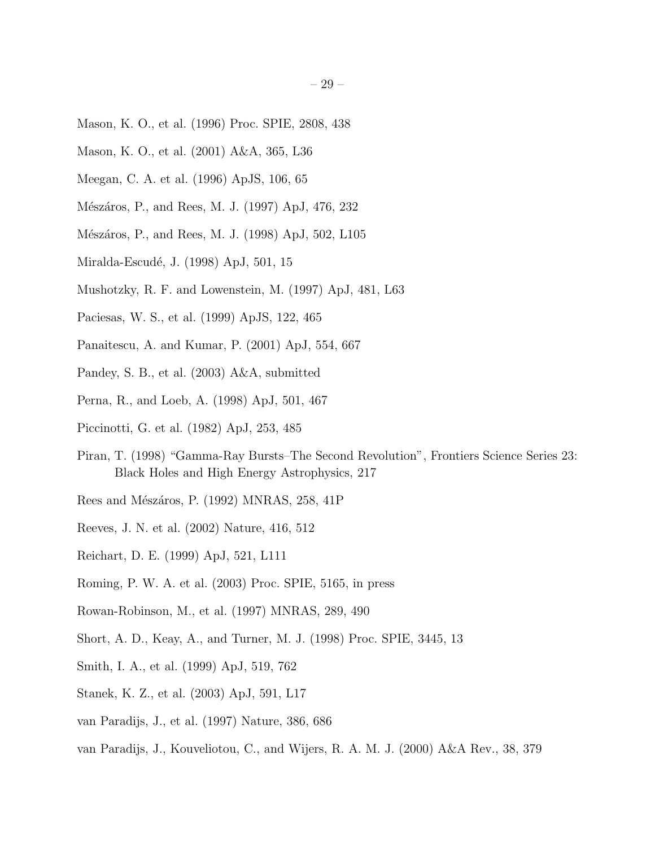- Mason, K. O., et al. (1996) Proc. SPIE, 2808, 438
- Mason, K. O., et al. (2001) A&A, 365, L36
- Meegan, C. A. et al. (1996) ApJS, 106, 65
- Mészáros, P., and Rees, M. J. (1997) ApJ, 476, 232
- Mészáros, P., and Rees, M. J. (1998) ApJ, 502, L105
- Miralda-Escudé, J. (1998) ApJ, 501, 15
- Mushotzky, R. F. and Lowenstein, M. (1997) ApJ, 481, L63
- Paciesas, W. S., et al. (1999) ApJS, 122, 465
- Panaitescu, A. and Kumar, P. (2001) ApJ, 554, 667
- Pandey, S. B., et al. (2003) A&A, submitted
- Perna, R., and Loeb, A. (1998) ApJ, 501, 467
- Piccinotti, G. et al. (1982) ApJ, 253, 485
- Piran, T. (1998) "Gamma-Ray Bursts–The Second Revolution", Frontiers Science Series 23: Black Holes and High Energy Astrophysics, 217
- Rees and Mészáros, P. (1992) MNRAS, 258, 41P
- Reeves, J. N. et al. (2002) Nature, 416, 512
- Reichart, D. E. (1999) ApJ, 521, L111
- Roming, P. W. A. et al. (2003) Proc. SPIE, 5165, in press
- Rowan-Robinson, M., et al. (1997) MNRAS, 289, 490
- Short, A. D., Keay, A., and Turner, M. J. (1998) Proc. SPIE, 3445, 13
- Smith, I. A., et al. (1999) ApJ, 519, 762
- Stanek, K. Z., et al. (2003) ApJ, 591, L17
- van Paradijs, J., et al. (1997) Nature, 386, 686
- van Paradijs, J., Kouveliotou, C., and Wijers, R. A. M. J. (2000) A&A Rev., 38, 379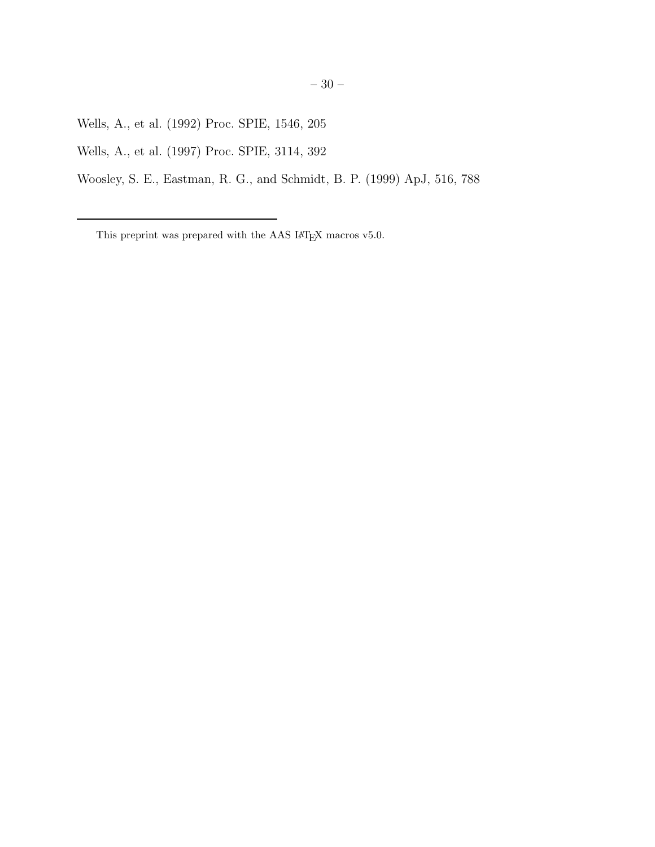Wells, A., et al. (1992) Proc. SPIE, 1546, 205

Wells, A., et al. (1997) Proc. SPIE, 3114, 392

Woosley, S. E., Eastman, R. G., and Schmidt, B. P. (1999) ApJ, 516, 788

This preprint was prepared with the AAS IATEX macros v5.0.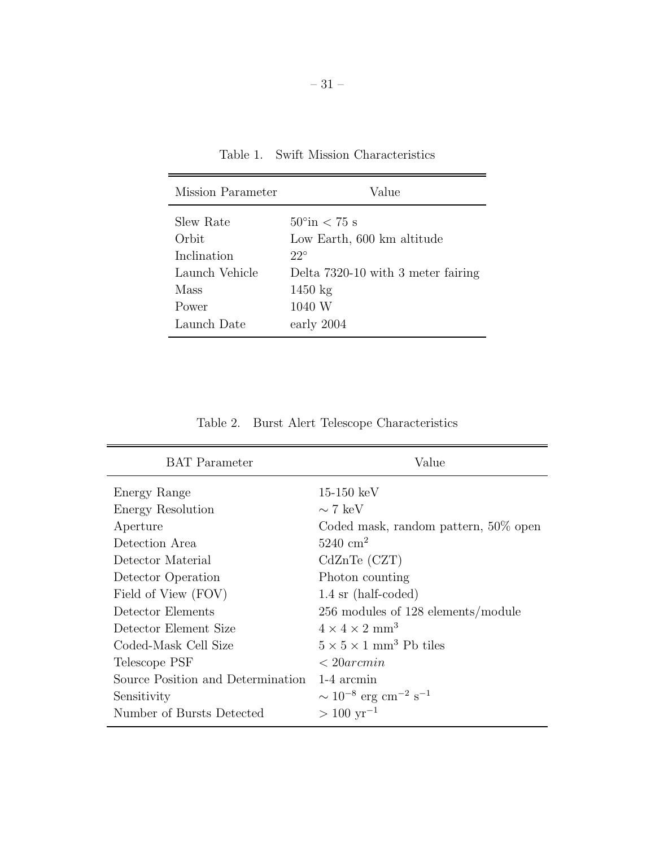| Mission Parameter | Value                              |
|-------------------|------------------------------------|
| Slew Rate         | $50^{\circ}$ in $< 75$ s           |
| Orbit             | Low Earth, 600 km altitude         |
| Inclination       | $22^\circ$                         |
| Launch Vehicle    | Delta 7320-10 with 3 meter fairing |
| Mass              | $1450 \text{ kg}$                  |
| Power             | 1040 W                             |
| Launch Date       | early 2004                         |

Table 1. Swift Mission Characteristics

Table 2. Burst Alert Telescope Characteristics

| <b>BAT</b> Parameter              | Value                                               |
|-----------------------------------|-----------------------------------------------------|
| Energy Range                      | $15-150~\mathrm{keV}$                               |
| Energy Resolution                 | $\sim$ 7 keV                                        |
| Aperture                          | Coded mask, random pattern, 50% open                |
| Detection Area                    | $5240 \text{ cm}^2$                                 |
| Detector Material                 | $CdZnTe$ $(CZT)$                                    |
| Detector Operation                | Photon counting                                     |
| Field of View (FOV)               | $1.4 \text{ sr}$ (half-coded)                       |
| Detector Elements                 | $256$ modules of $128$ elements/module              |
| Detector Element Size             | $4 \times 4 \times 2$ mm <sup>3</sup>               |
| Coded-Mask Cell Size              | $5 \times 5 \times 1$ mm <sup>3</sup> Pb tiles      |
| Telescope PSF                     | $\langle 20 \rangle$                                |
| Source Position and Determination | 1-4 arcmin                                          |
| Sensitivity                       | $\sim 10^{-8}$ erg cm <sup>-2</sup> s <sup>-1</sup> |
| Number of Bursts Detected         | $> 100 \text{ yr}^{-1}$                             |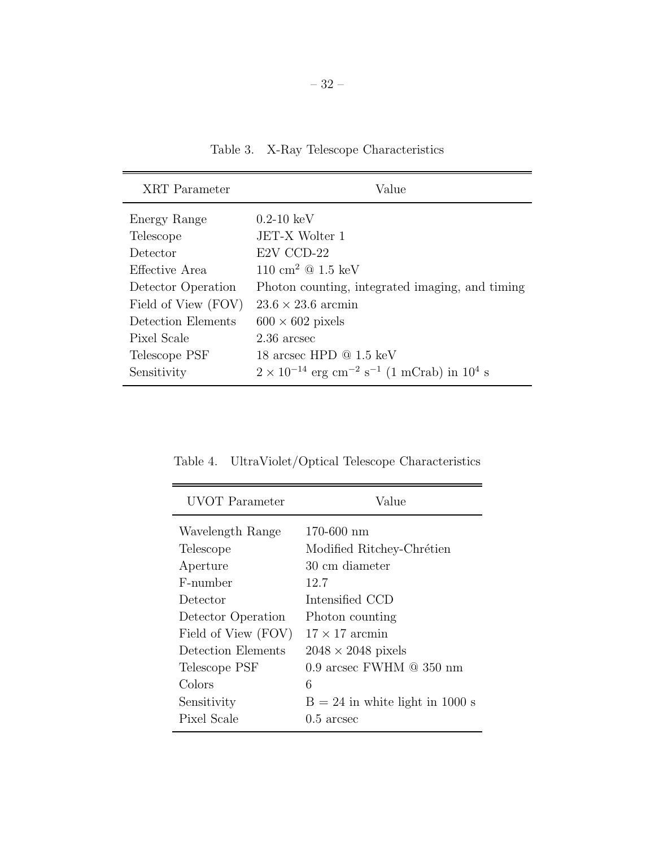Table 3. X-Ray Telescope Characteristics

| XRT Parameter       | Value                                                                                   |
|---------------------|-----------------------------------------------------------------------------------------|
| Energy Range        | $0.2 - 10~{\rm keV}$                                                                    |
| Telescope           | JET-X Wolter 1                                                                          |
| Detector            | E2V CCD-22                                                                              |
| Effective Area      | $110 \text{ cm}^2 \text{ @ } 1.5 \text{ keV}$                                           |
| Detector Operation  | Photon counting, integrated imaging, and timing                                         |
| Field of View (FOV) | $23.6 \times 23.6$ arcmin                                                               |
| Detection Elements  | $600 \times 602$ pixels                                                                 |
| Pixel Scale         | 2.36 arcsec                                                                             |
| Telescope PSF       | 18 arcsec HPD $@1.5~keV$                                                                |
| Sensitivity         | $2 \times 10^{-14}$ erg cm <sup>-2</sup> s <sup>-1</sup> (1 mCrab) in 10 <sup>4</sup> s |

 $\equiv$ UVOT Parameter Value

Table 4. UltraViolet/Optical Telescope Characteristics

| UVOT Parameter      | Value                             |
|---------------------|-----------------------------------|
| Wavelength Range    | $170 - 600$ nm                    |
| Telescope           | Modified Ritchey-Chrétien         |
| Aperture            | 30 cm diameter                    |
| F-number            | 12.7                              |
| Detector            | Intensified CCD                   |
| Detector Operation  | Photon counting                   |
| Field of View (FOV) | $17 \times 17$ arcmin             |
| Detection Elements  | $2048 \times 2048$ pixels         |
| Telescope PSF       | 0.9 arcsec FWHM $@$ 350 nm        |
| Colors              | 6                                 |
| Sensitivity         | $B = 24$ in white light in 1000 s |
| Pixel Scale         | $0.5$ arcsec                      |
|                     |                                   |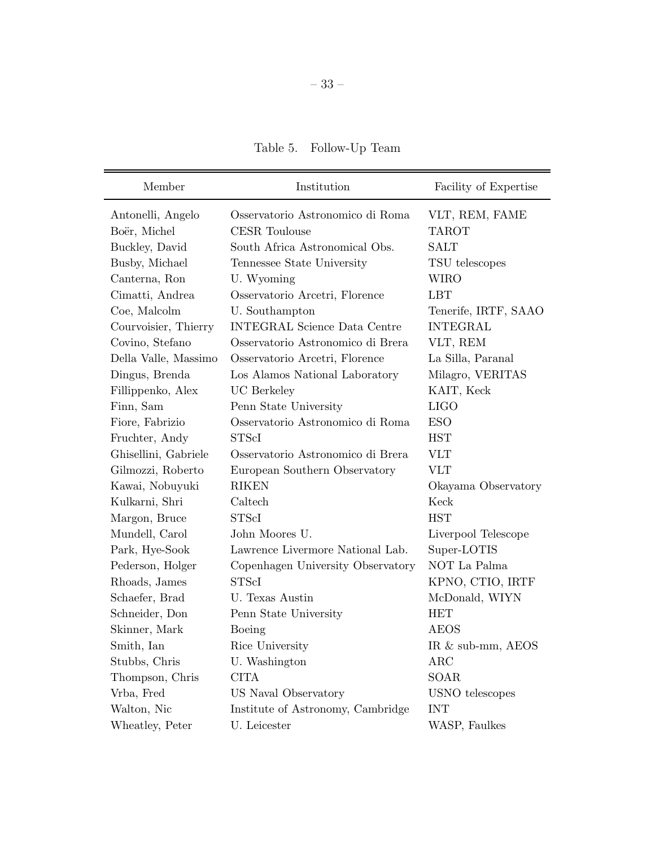Table 5. Follow-Up Team

| Member               | Institution                         | Facility of Expertise |
|----------------------|-------------------------------------|-----------------------|
| Antonelli, Angelo    | Osservatorio Astronomico di Roma    | VLT, REM, FAME        |
| Boër, Michel         | <b>CESR</b> Toulouse                | <b>TAROT</b>          |
| Buckley, David       | South Africa Astronomical Obs.      | <b>SALT</b>           |
| Busby, Michael       | Tennessee State University          | TSU telescopes        |
| Canterna, Ron        | U. Wyoming                          | <b>WIRO</b>           |
| Cimatti, Andrea      | Osservatorio Arcetri, Florence      | <b>LBT</b>            |
| Coe, Malcolm         | U. Southampton                      | Tenerife, IRTF, SAAO  |
| Courvoisier, Thierry | <b>INTEGRAL Science Data Centre</b> | <b>INTEGRAL</b>       |
| Covino, Stefano      | Osservatorio Astronomico di Brera   | VLT, REM              |
| Della Valle, Massimo | Osservatorio Arcetri, Florence      | La Silla, Paranal     |
| Dingus, Brenda       | Los Alamos National Laboratory      | Milagro, VERITAS      |
| Fillippenko, Alex    | <b>UC</b> Berkeley                  | KAIT, Keck            |
| Finn, Sam            | Penn State University               | <b>LIGO</b>           |
| Fiore, Fabrizio      | Osservatorio Astronomico di Roma    | <b>ESO</b>            |
| Fruchter, Andy       | <b>STScI</b>                        | <b>HST</b>            |
| Ghisellini, Gabriele | Osservatorio Astronomico di Brera   | <b>VLT</b>            |
| Gilmozzi, Roberto    | European Southern Observatory       | <b>VLT</b>            |
| Kawai, Nobuyuki      | <b>RIKEN</b>                        | Okayama Observatory   |
| Kulkarni, Shri       | Caltech                             | Keck                  |
| Margon, Bruce        | <b>STScI</b>                        | <b>HST</b>            |
| Mundell, Carol       | John Moores U.                      | Liverpool Telescope   |
| Park, Hye-Sook       | Lawrence Livermore National Lab.    | Super-LOTIS           |
| Pederson, Holger     | Copenhagen University Observatory   | NOT La Palma          |
| Rhoads, James        | <b>STScI</b>                        | KPNO, CTIO, IRTF      |
| Schaefer, Brad       | U. Texas Austin                     | McDonald, WIYN        |
| Schneider, Don       | Penn State University               | <b>HET</b>            |
| Skinner, Mark        | Boeing                              | AEOS                  |
| Smith, Ian           | Rice University                     | IR & sub-mm, AEOS     |
| Stubbs, Chris        | U. Washington                       | $\rm{ARC}$            |
| Thompson, Chris      | <b>CITA</b>                         | SOAR                  |
| Vrba, Fred           | US Naval Observatory                | USNO telescopes       |
| Walton, Nic          | Institute of Astronomy, Cambridge   | <b>INT</b>            |
| Wheatley, Peter      | U. Leicester                        | WASP, Faulkes         |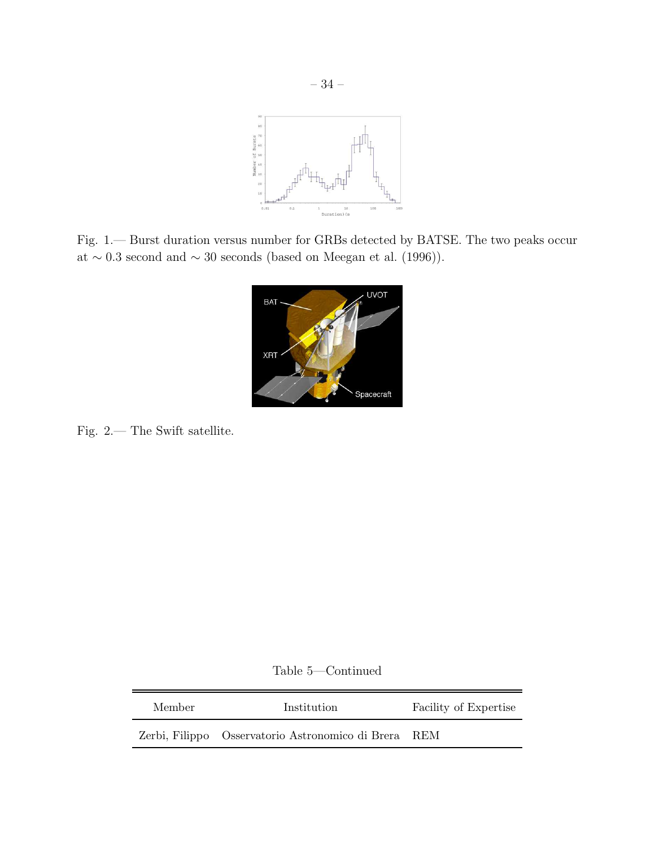

Fig. 1.— Burst duration versus number for GRBs detected by BATSE. The two peaks occur at  $\sim 0.3$  second and  $\sim 30$  seconds (based on Meegan et al. (1996)).



Fig. 2.— The Swift satellite.

Table 5—Continued

| Member | Institution                                          | Facility of Expertise |
|--------|------------------------------------------------------|-----------------------|
|        | Zerbi, Filippo Osservatorio Astronomico di Brera REM |                       |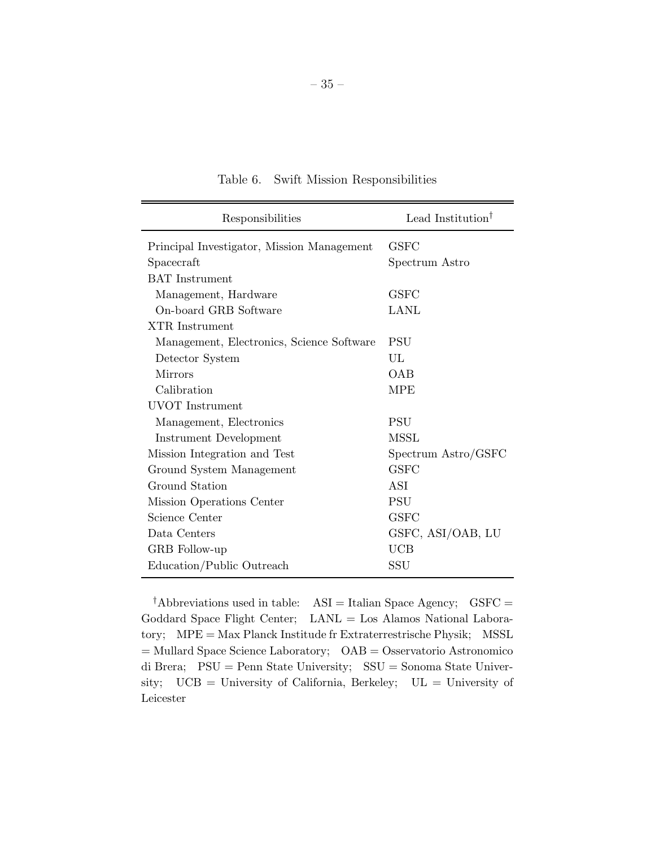| Responsibilities                           | Lead Institution <sup>†</sup> |
|--------------------------------------------|-------------------------------|
| Principal Investigator, Mission Management | <b>GSFC</b>                   |
| Spacecraft                                 | Spectrum Astro                |
| <b>BAT</b> Instrument                      |                               |
| Management, Hardware                       | <b>GSFC</b>                   |
| On-board GRB Software                      | LANL                          |
| XTR Instrument                             |                               |
| Management, Electronics, Science Software  | <b>PSU</b>                    |
| Detector System                            | UL                            |
| <b>Mirrors</b>                             | OAB                           |
| Calibration                                | <b>MPE</b>                    |
| UVOT Instrument                            |                               |
| Management, Electronics                    | <b>PSU</b>                    |
| Instrument Development                     | MSSL                          |
| Mission Integration and Test               | Spectrum Astro/GSFC           |
| Ground System Management                   | <b>GSFC</b>                   |
| Ground Station                             | ASI                           |
| Mission Operations Center                  | <b>PSU</b>                    |
| Science Center                             | <b>GSFC</b>                   |
| Data Centers                               | GSFC, ASI/OAB, LU             |
| GRB Follow-up                              | UCB                           |
| Education/Public Outreach                  | SSU                           |

Table 6. Swift Mission Responsibilities

<sup>†</sup>Abbreviations used in table:  $\overline{ASI} =$ Italian Space Agency;  $\overline{GSFC} =$ Goddard Space Flight Center; LANL = Los Alamos National Laboratory; MPE = Max Planck Institude fr Extraterrestrische Physik; MSSL = Mullard Space Science Laboratory; OAB = Osservatorio Astronomico di Brera; PSU = Penn State University; SSU = Sonoma State University; UCB = University of California, Berkeley; UL = University of Leicester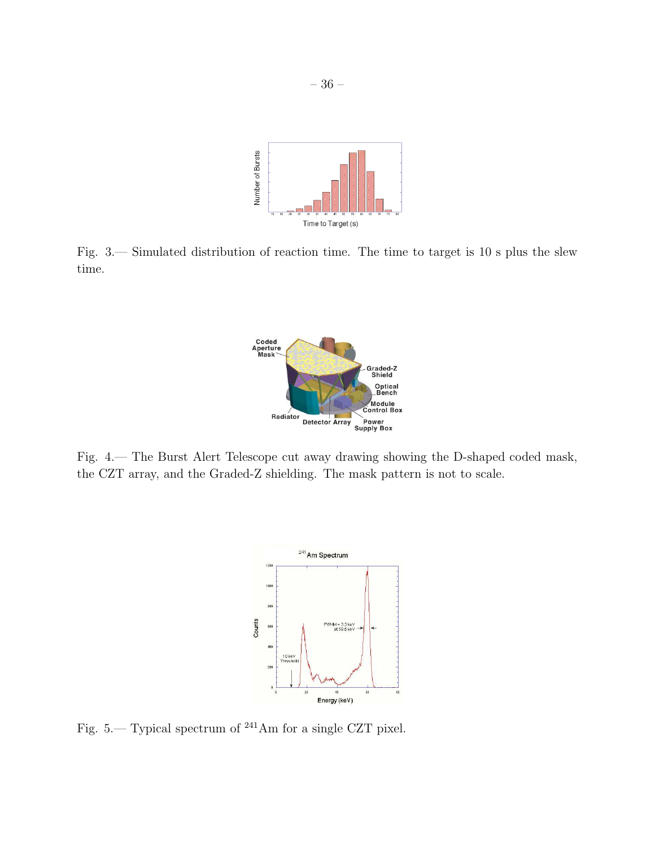

Fig. 3.— Simulated distribution of reaction time. The time to target is 10 s plus the slew time.



Fig. 4.— The Burst Alert Telescope cut away drawing showing the D-shaped coded mask, the CZT array, and the Graded-Z shielding. The mask pattern is not to scale.



Fig. 5.— Typical spectrum of <sup>241</sup>Am for a single CZT pixel.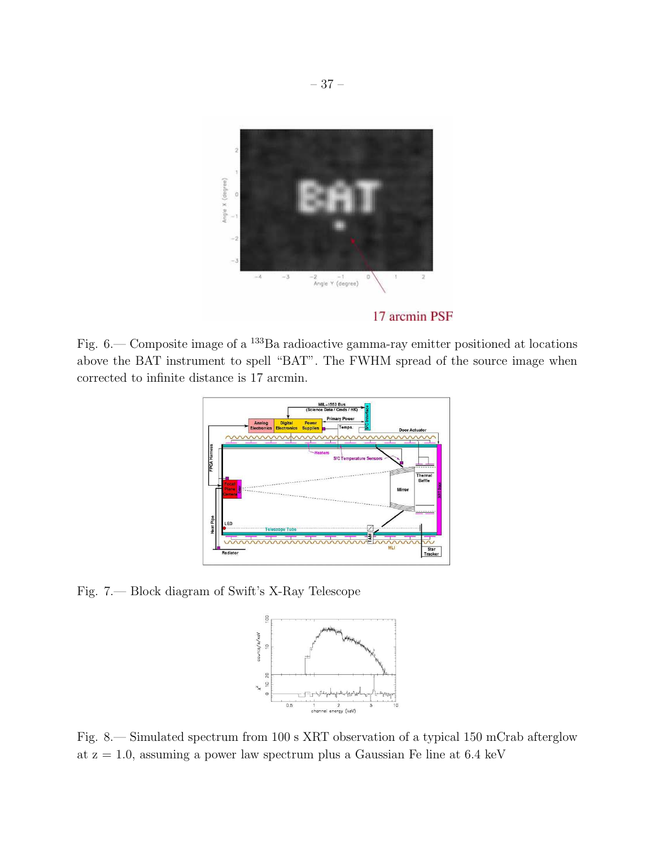

17 arcmin PSF

Fig. 6.— Composite image of a <sup>133</sup>Ba radioactive gamma-ray emitter positioned at locations above the BAT instrument to spell "BAT". The FWHM spread of the source image when corrected to infinite distance is 17 arcmin.



Fig. 7.— Block diagram of Swift's X-Ray Telescope



Fig. 8.— Simulated spectrum from 100 s XRT observation of a typical 150 mCrab afterglow at  $z = 1.0$ , assuming a power law spectrum plus a Gaussian Fe line at 6.4 keV